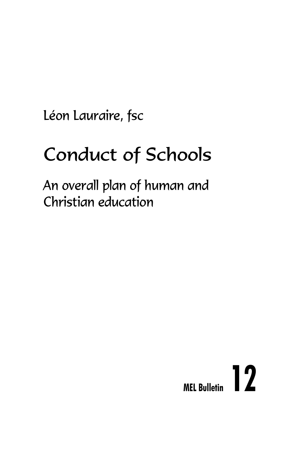Léon Lauraire, fsc

# Conduct of Schools

An overall plan of human and Christian education

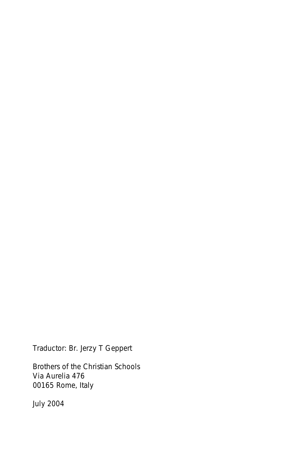Traductor: Br. Jerzy T Geppert

Brothers of the Christian Schools Via Aurelia 476 00165 Rome, Italy

July 2004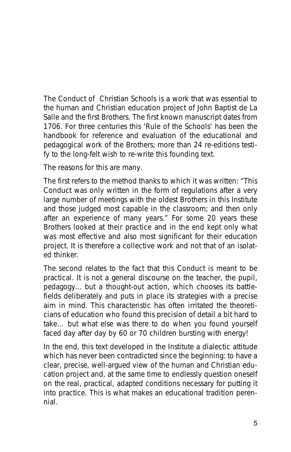*The Conduct of Christian Schools* is a work that was essential to the human and Christian education project of John Baptist de La Salle and the first Brothers. The first known manuscript dates from 1706. For three centuries this 'Rule of the Schools' has been the handbook for reference and evaluation of the educational and pedagogical work of the Brothers; more than 24 re-editions testify to the long-felt wish to re-write this founding text.

The reasons for this are many.

The first refers to the method thanks to which it was written: "*This Conduct was only written in the form of regulations after a very large number of meetings with the oldest Brothers in this Institute and those judged most capable in the classroom; and then only after an experience of many years.*" For some 20 years these Brothers looked at their practice and in the end kept only what was most effective and also most significant for their education project. It is therefore a collective work and not that of an isolated thinker.

The second relates to the fact that this *Conduct* is meant to be practical. It is not a general discourse on the teacher, the pupil, pedagogy... but a thought-out action, which chooses its battlefields deliberately and puts in place its strategies with a precise aim in mind. This characteristic has often irritated the theoreticians of education who found this precision of detail a bit hard to take… but what else was there to do when you found yourself faced day after day by 60 or 70 children bursting with energy!

In the end, this text developed in the Institute a dialectic attitude which has never been contradicted since the beginning: to have a clear, precise, well-argued view of the human and Christian education project and, at the same time to endlessly question oneself on the real, practical, adapted conditions necessary for putting it into practice. This is what makes an educational tradition perennial.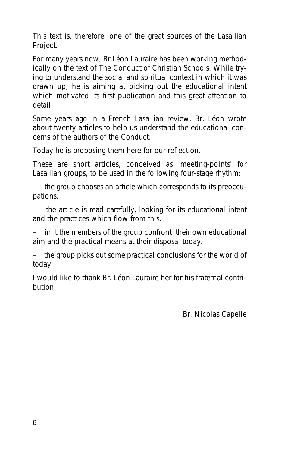This text is, therefore, one of the great sources of the Lasallian Project.

For many years now, Br.Léon Lauraire has been working methodically on the text of *The Conduct of Christian Schools*. While trying to understand the social and spiritual context in which it was drawn up, he is aiming at picking out the educational intent which motivated its first publication and this great attention to detail.

Some years ago in a French Lasallian review, Br. Léon wrote about twenty articles to help us understand the educational concerns of the authors of the *Conduct*.

Today he is proposing them here for our reflection.

These are short articles, conceived as 'meeting-points' for Lasallian groups, to be used in the following four-stage rhythm:

– the group chooses an article which corresponds to its preoccupations.

– the article is read carefully, looking for its educational intent and the practices which flow from this.

– in it the members of the group confront their own educational aim and the practical means at their disposal today.

– the group picks out some practical conclusions for the world of today.

I would like to thank Br. Léon Lauraire her for his fraternal contribution.

Br. Nicolas Capelle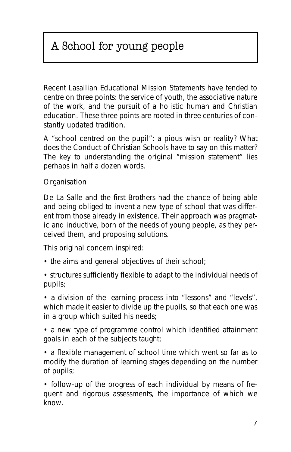## A School for young people

Recent Lasallian Educational Mission Statements have tended to centre on three points: the service of youth, the associative nature of the work, and the pursuit of a holistic human and Christian education. These three points are rooted in three centuries of constantly updated tradition.

A "school centred on the pupil": a pious wish or reality? What does the Conduct of Christian Schools have to say on this matter? The key to understanding the original "mission statement" lies perhaps in half a dozen words.

#### **Organisation**

De La Salle and the first Brothers had the chance of being able and being obliged to invent a new type of school that was different from those already in existence. Their approach was pragmatic and inductive, born of the needs of young people, as they perceived them, and proposing solutions.

This original concern inspired:

- the aims and general objectives of their school;
- structures sufficiently flexible to adapt to the individual needs of pupils;

• a division of the learning process into "lessons" and "levels", which made it easier to divide up the pupils, so that each one was in a group which suited his needs;

• a new type of programme control which identified attainment goals in each of the subjects taught;

• a flexible management of school time which went so far as to modify the duration of learning stages depending on the number of pupils;

• follow-up of the progress of each individual by means of frequent and rigorous assessments, the importance of which we know.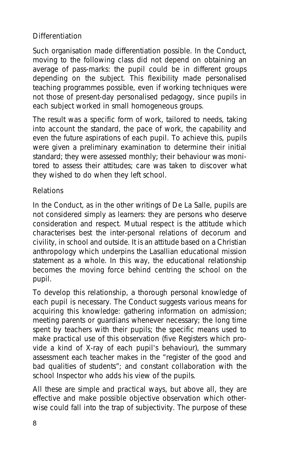#### **Differentiation**

Such organisation made differentiation possible. In the Conduct, moving to the following class did not depend on obtaining an average of pass-marks: the pupil could be in different groups depending on the subject. This flexibility made personalised teaching programmes possible, even if working techniques were not those of present-day personalised pedagogy, since pupils in each subject worked in small homogeneous groups.

The result was a specific form of work, tailored to needs, taking into account the standard, the pace of work, the capability and even the future aspirations of each pupil. To achieve this, pupils were given a preliminary examination to determine their initial standard; they were assessed monthly; their behaviour was monitored to assess their attitudes; care was taken to discover what they wished to do when they left school.

#### **Relations**

In the Conduct, as in the other writings of De La Salle, pupils are not considered simply as learners: they are persons who deserve consideration and respect. Mutual respect is the attitude which characterises best the inter-personal relations of decorum and civility, in school and outside. It is an attitude based on a Christian anthropology which underpins the Lasallian educational mission statement as a whole. In this way, the educational relationship becomes the moving force behind centring the school on the pupil.

To develop this relationship, a thorough personal knowledge of each pupil is necessary. The Conduct suggests various means for acquiring this knowledge: gathering information on admission; meeting parents or guardians whenever necessary; the long time spent by teachers with their pupils; the specific means used to make practical use of this observation (five Registers which provide a kind of X-ray of each pupil's behaviour), the summary assessment each teacher makes in the "register of the good and bad qualities of students"; and constant collaboration with the school Inspector who adds his view of the pupils.

All these are simple and practical ways, but above all, they are effective and make possible objective observation which otherwise could fall into the trap of subjectivity. The purpose of these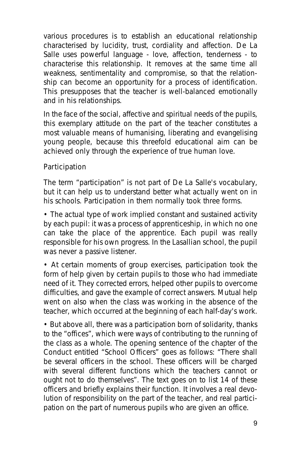various procedures is to establish an educational relationship characterised by lucidity, trust, cordiality and affection. De La Salle uses powerful language - love, affection, tenderness - to characterise this relationship. It removes at the same time all weakness, sentimentality and compromise, so that the relationship can become an opportunity for a process of identification. This presupposes that the teacher is well-balanced emotionally and in his relationships.

In the face of the social, affective and spiritual needs of the pupils, this exemplary attitude on the part of the teacher constitutes a most valuable means of humanising, liberating and evangelising young people, because this threefold educational aim can be achieved only through the experience of true human love.

#### **Participation**

The term "participation" is not part of De La Salle's vocabulary, but it can help us to understand better what actually went on in his schools. Participation in them normally took three forms.

• The actual type of work implied constant and sustained activity by each pupil: it was a process of apprenticeship, in which no one can take the place of the apprentice. Each pupil was really responsible for his own progress. In the Lasallian school, the pupil was never a passive listener.

• At certain moments of group exercises, participation took the form of help given by certain pupils to those who had immediate need of it. They corrected errors, helped other pupils to overcome difficulties, and gave the example of correct answers. Mutual help went on also when the class was working in the absence of the teacher, which occurred at the beginning of each half-day's work.

• But above all, there was a participation born of solidarity, thanks to the "offices", which were ways of contributing to the running of the class as a whole. The opening sentence of the chapter of the Conduct entitled "School Officers" goes as follows: "There shall be several officers in the school. These officers will be charged with several different functions which the teachers cannot or ought not to do themselves". The text goes on to list 14 of these officers and briefly explains their function. It involves a real devolution of responsibility on the part of the teacher, and real participation on the part of numerous pupils who are given an office.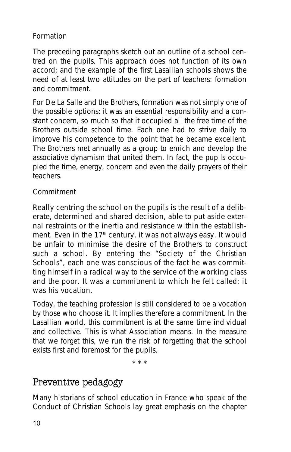#### **Formation**

The preceding paragraphs sketch out an outline of a school centred on the pupils. This approach does not function of its own accord; and the example of the first Lasallian schools shows the need of at least two attitudes on the part of teachers: formation and commitment.

For De La Salle and the Brothers, formation was not simply one of the possible options: it was an essential responsibility and a constant concern, so much so that it occupied all the free time of the Brothers outside school time. Each one had to strive daily to improve his competence to the point that he became excellent. The Brothers met annually as a group to enrich and develop the associative dynamism that united them. In fact, the pupils occupied the time, energy, concern and even the daily prayers of their teachers.

#### **Commitment**

Really centring the school on the pupils is the result of a deliberate, determined and shared decision, able to put aside external restraints or the inertia and resistance within the establishment. Even in the 17<sup>th</sup> century, it was not always easy. It would be unfair to minimise the desire of the Brothers to construct such a school. By entering the "Society of the Christian Schools", each one was conscious of the fact he was committing himself in a radical way to the service of the working class and the poor. It was a commitment to which he felt called: it was his vocation.

Today, the teaching profession is still considered to be a vocation by those who choose it. It implies therefore a commitment. In the Lasallian world, this commitment is at the same time individual and collective. This is what Association means. In the measure that we forget this, we run the risk of forgetting that the school exists first and foremost for the pupils.

\* \* \*

## Preventive pedagogy

Many historians of school education in France who speak of the *Conduct of Christian Schools* lay great emphasis on the chapter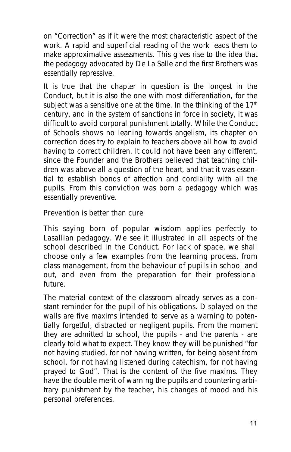on *"Correction"* as if it were the most characteristic aspect of the work. A rapid and superficial reading of the work leads them to make approximative assessments. This gives rise to the idea that the pedagogy advocated by De La Salle and the first Brothers was essentially repressive.

It is true that the chapter in question is the longest in the *Conduct*, but it is also the one with most differentiation, for the subject was a sensitive one at the time. In the thinking of the  $17<sup>th</sup>$ century, and in the system of sanctions in force in society, it was difficult to avoid corporal punishment totally. While the *Conduct of Schools* shows no leaning towards angelism, its chapter on correction does try to explain to teachers above all how to avoid having to correct children. It could not have been any different, since the Founder and the Brothers believed that teaching children was above all a question of the heart, and that it was essential to establish bonds of affection and cordiality with all the pupils. From this conviction was born a pedagogy which was essentially preventive.

#### **Prevention is better than cure**

This saying born of popular wisdom applies perfectly to Lasallian pedagogy. We see it illustrated in all aspects of the school described in the *Conduct*. For lack of space, we shall choose only a few examples from the learning process, from class management, from the behaviour of pupils in school and out, and even from the preparation for their professional future.

The material context of the classroom already serves as a constant reminder for the pupil of his obligations. Displayed on the walls are five maxims intended to serve as a warning to potentially forgetful, distracted or negligent pupils. From the moment they are admitted to school, the pupils - and the parents - are clearly told what to expect. They know they will be punished "for not having studied, for not having written, for being absent from school, for not having listened during catechism, for not having prayed to God". That is the content of the five maxims. They have the double merit of warning the pupils and countering arbitrary punishment by the teacher, his changes of mood and his personal preferences.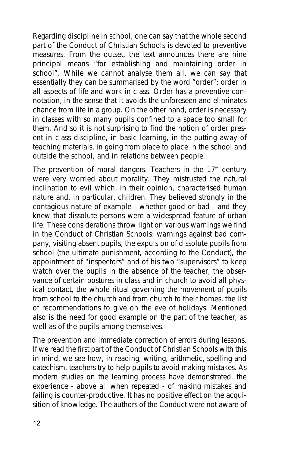Regarding discipline in school, one can say that the whole second part of the *Conduct of Christian Schools* is devoted to preventive measures. From the outset, the text announces there are nine principal means "for establishing and maintaining order in school". While we cannot analyse them all, we can say that essentially they can be summarised by the word "order": order in all aspects of life and work in class. Order has a preventive connotation, in the sense that it avoids the unforeseen and eliminates chance from life in a group. On the other hand, order is necessary in classes with so many pupils confined to a space too small for them. And so it is not surprising to find the notion of order present in class discipline, in basic learning, in the putting away of teaching materials, in going from place to place in the school and outside the school, and in relations between people.

The prevention of moral dangers. Teachers in the  $17<sup>th</sup>$  century were very worried about morality. They mistrusted the natural inclination to evil which, in their opinion, characterised human nature and, in particular, children. They believed strongly in the contagious nature of example - whether good or bad - and they knew that dissolute persons were a widespread feature of urban life. These considerations throw light on various warnings we find in the *Conduct of Christian Schools*: warnings against bad company, visiting absent pupils, the expulsion of dissolute pupils from school (the ultimate punishment, according to the *Conduct*), the appointment of "inspectors" and of his two "supervisors" to keep watch over the pupils in the absence of the teacher, the observance of certain postures in class and in church to avoid all physical contact, the whole ritual governing the movement of pupils from school to the church and from church to their homes, the list of recommendations to give on the eve of holidays. Mentioned also is the need for good example on the part of the teacher, as well as of the pupils among themselves.

The prevention and immediate correction of errors during lessons. If we read the first part of the *Conduct of Christian Schools* with this in mind, we see how, in reading, writing, arithmetic, spelling and catechism, teachers try to help pupils to avoid making mistakes. As modern studies on the learning process have demonstrated, the experience - above all when repeated - of making mistakes and failing is counter-productive. It has no positive effect on the acquisition of knowledge. The authors of the *Conduct* were not aware of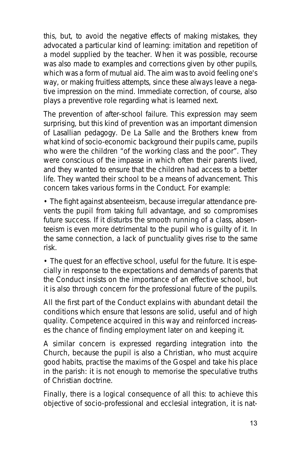this, but, to avoid the negative effects of making mistakes, they advocated a particular kind of learning: imitation and repetition of a model supplied by the teacher. When it was possible, recourse was also made to examples and corrections given by other pupils, which was a form of mutual aid. The aim was to avoid feeling one's way, or making fruitless attempts, since these always leave a negative impression on the mind. Immediate correction, of course, also plays a preventive role regarding what is learned next.

The prevention of after-school failure. This expression may seem surprising, but this kind of prevention was an important dimension of Lasallian pedagogy. De La Salle and the Brothers knew from what kind of socio-economic background their pupils came, pupils who were the children "of the working class and the poor". They were conscious of the impasse in which often their parents lived, and they wanted to ensure that the children had access to a better life. They wanted their school to be a means of advancement. This concern takes various forms in the *Conduct*. For example:

• *The fight against absenteeism*, because irregular attendance prevents the pupil from taking full advantage, and so compromises future success. If it disturbs the smooth running of a class, absenteeism is even more detrimental to the pupil who is guilty of it. In the same connection, a lack of punctuality gives rise to the same risk.

• *The quest for an effective school*, useful for the future. It is especially in response to the expectations and demands of parents that the *Conduct* insists on the importance of an effective school, but it is also through concern for the professional future of the pupils.

All the first part of the *Conduct* explains with abundant detail the conditions which ensure that lessons are solid, useful and of high quality. Competence acquired in this way and reinforced increases the chance of finding employment later on and keeping it.

A similar concern is expressed regarding integration into the Church, because the pupil is also a Christian, who must acquire good habits, practise the maxims of the Gospel and take his place in the parish: it is not enough to memorise the speculative truths of Christian doctrine.

Finally, there is a logical consequence of all this: to achieve this objective of socio-professional and ecclesial integration, it is nat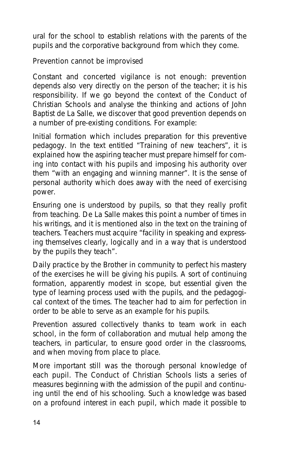ural for the school to establish relations with the parents of the pupils and the corporative background from which they come.

#### **Prevention cannot be improvised**

Constant and concerted vigilance is not enough: prevention depends also very directly on the person of the teacher; it is his responsibility. If we go beyond the context of the *Conduct of Christian Schools* and analyse the thinking and actions of John Baptist de La Salle, we discover that good prevention depends on a number of pre-existing conditions. For example:

Initial formation which includes preparation for this preventive pedagogy. In the text entitled "Training of new teachers", it is explained how the aspiring teacher must prepare himself for coming into contact with his pupils and imposing his authority over them "with an engaging and winning manner". It is the sense of personal authority which does away with the need of exercising power.

Ensuring one is understood by pupils, so that they really profit from teaching. De La Salle makes this point a number of times in his writings, and it is mentioned also in the text on the training of teachers. Teachers must acquire "facility in speaking and expressing themselves clearly, logically and in a way that is understood by the pupils they teach".

Daily practice by the Brother in community to perfect his mastery of the exercises he will be giving his pupils. A sort of continuing formation, apparently modest in scope, but essential given the type of learning process used with the pupils, and the pedagogical context of the times. The teacher had to aim for perfection in order to be able to serve as an example for his pupils.

Prevention assured collectively thanks to team work in each school, in the form of collaboration and mutual help among the teachers, in particular, to ensure good order in the classrooms, and when moving from place to place.

More important still was the thorough personal knowledge of each pupil. The *Conduct of Christian Schools* lists a series of measures beginning with the admission of the pupil and continuing until the end of his schooling. Such a knowledge was based on a profound interest in each pupil, which made it possible to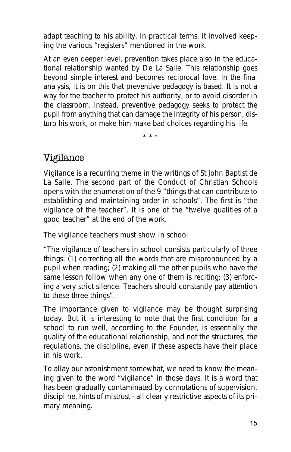adapt teaching to his ability. In practical terms, it involved keeping the various "registers" mentioned in the work.

At an even deeper level, prevention takes place also in the educational relationship wanted by De La Salle. This relationship goes beyond simple interest and becomes reciprocal love. In the final analysis, it is on this that preventive pedagogy is based. It is not a way for the teacher to protect his authority, or to avoid disorder in the classroom. Instead, preventive pedagogy seeks to protect the pupil from anything that can damage the integrity of his person, disturb his work, or make him make bad choices regarding his life.

\* \* \*

## Vigilance

Vigilance is a recurring theme in the writings of St John Baptist de La Salle. The second part of the *Conduct of Christian Schools* opens with the enumeration of the 9 *"things that can contribute to establishing and maintaining order in schools"*. The first is *"the vigilance of the teacher"*. It is one of the *"twelve qualities of a good teacher"* at the end of the work.

#### **The vigilance teachers must show in school**

*"The vigilance of teachers in school consists particularly of three things: (1) correcting all the words that are mispronounced by a pupil when reading; (2) making all the other pupils who have the same lesson follow when any one of them is reciting; (3) enforcing a very strict silence. Teachers should constantly pay attention to these three things".*

The importance given to vigilance may be thought surprising today. But it is interesting to note that the first condition for a school to run well, according to the Founder, is essentially the quality of the educational relationship, and not the structures, the regulations, the discipline, even if these aspects have their place in his work.

To allay our astonishment somewhat, we need to know the meaning given to the word "vigilance" in those days. It is a word that has been gradually contaminated by connotations of supervision, discipline, hints of mistrust - all clearly restrictive aspects of its primary meaning.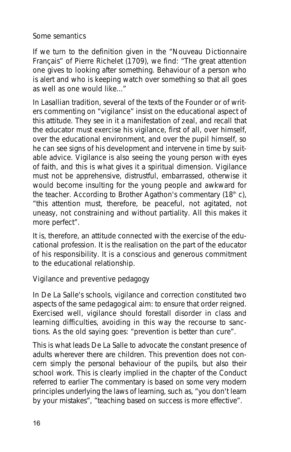#### **Some semantics**

If we turn to the definition given in the "*Nouveau Dictionnaire Français*" of Pierre Richelet (1709), we find: "*The great attention one gives to looking after something. Behaviour of a person who is alert and who is keeping watch over something so that all goes as well as one would like...*"

In Lasallian tradition, several of the texts of the Founder or of writers commenting on "vigilance" insist on the educational aspect of this attitude. They see in it a manifestation of zeal, and recall that the educator must exercise his vigilance, first of all, over himself, over the educational environment, and over the pupil himself, so he can see signs of his development and intervene in time by suitable advice. Vigilance is also seeing the young person with eyes of faith, and this is what gives it a spiritual dimension. Vigilance must not be apprehensive, distrustful, embarrassed, otherwise it would become insulting for the young people and awkward for the teacher. According to Brother Agathon's commentary  $(18<sup>th</sup> c)$ , "*this attention must, therefore, be peaceful, not agitated, not uneasy, not constraining and without partiality. All this makes it more perfect*".

It is, therefore, an attitude connected with the exercise of the educational profession. It is the realisation on the part of the educator of his responsibility. It is a conscious and generous commitment to the educational relationship.

#### **Vigilance and preventive pedagogy**

In De La Salle's schools, vigilance and correction constituted two aspects of the same pedagogical aim: to ensure that order reigned. Exercised well, vigilance should forestall disorder in class and learning difficulties, avoiding in this way the recourse to sanctions. As the old saying goes: "prevention is better than cure".

This is what leads De La Salle to advocate the constant presence of adults wherever there are children. This prevention does not concern simply the personal behaviour of the pupils, but also their school work. This is clearly implied in the chapter of the *Conduct* referred to earlier The commentary is based on some very modern principles underlying the laws of learning, such as, "you don't learn by your mistakes", "teaching based on success is more effective".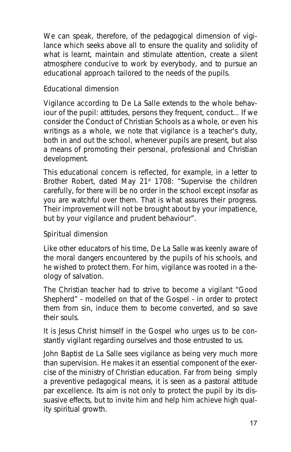We can speak, therefore, of the pedagogical dimension of vigilance which seeks above all to ensure the quality and solidity of what is learnt, maintain and stimulate attention, create a silent atmosphere conducive to work by everybody, and to pursue an educational approach tailored to the needs of the pupils.

#### **Educational dimension**

Vigilance according to De La Salle extends to the whole behaviour of the pupil: attitudes, persons they frequent, conduct... If we consider the *Conduct of Christian Schools* as a whole, or even his writings as a whole, we note that vigilance is a teacher's duty, both in and out the school, whenever pupils are present, but also a means of promoting their personal, professional and Christian development.

This educational concern is reflected, for example, in a letter to Brother Robert, dated May 21<sup>st</sup> 1708: "Supervise the children *carefully, for there will be no order in the school except insofar as you are watchful over them. That is what assures their progress. Their improvement will not be brought about by your impatience, but by your vigilance and prudent behaviour*".

#### **Spiritual dimension**

Like other educators of his time, De La Salle was keenly aware of the moral dangers encountered by the pupils of his schools, and he wished to protect them. For him, vigilance was rooted in a theology of salvation.

The Christian teacher had to strive to become a vigilant "Good Shepherd" - modelled on that of the Gospel - in order to protect them from sin, induce them to become converted, and so save their souls.

It is Jesus Christ himself in the Gospel who urges us to be constantly vigilant regarding ourselves and those entrusted to us.

John Baptist de La Salle sees vigilance as being very much more than supervision. He makes it an essential component of the exercise of the ministry of Christian education. Far from being simply a preventive pedagogical means, it is seen as a pastoral attitude *par excellence*. Its aim is not only to protect the pupil by its dissuasive effects, but to invite him and help him achieve high quality spiritual growth.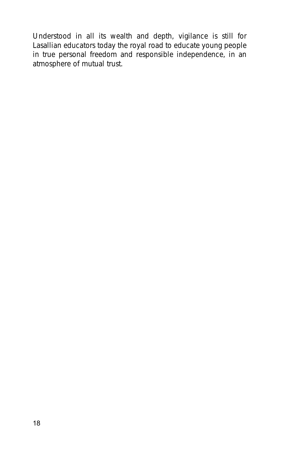Understood in all its wealth and depth, vigilance is still for Lasallian educators today the royal road to educate young people in true personal freedom and responsible independence, in an atmosphere of mutual trust.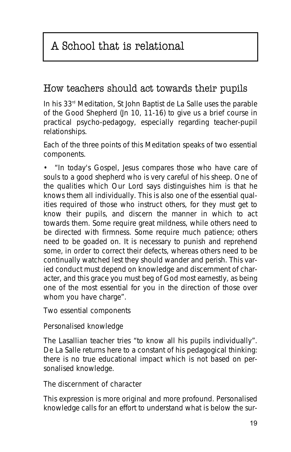## A School that is relational

## How teachers should act towards their pupils

In his 33rd *Meditation*, St John Baptist de La Salle uses the parable of the Good Shepherd (Jn 10, 11-16) to give us a brief course in practical psycho-pedagogy, especially regarding teacher-pupil relationships.

Each of the three points of this *Meditation* speaks of two essential components.

• *"In today's Gospel, Jesus compares those who have care of souls to a good shepherd who is very careful of his sheep. One of the qualities which Our Lord says distinguishes him is that he knows them all individually. This is also one of the essential qualities required of those who instruct others, for they must get to know their pupils, and discern the manner in which to act towards them. Some require great mildness, while others need to be directed with firmness. Some require much patience; others need to be goaded on. It is necessary to punish and reprehend some, in order to correct their defects, whereas others need to be continually watched lest they should wander and perish. This varied conduct must depend on knowledge and discernment of character, and this grace you must beg of God most earnestly, as being one of the most essential for you in the direction of those over whom you have charge"*.

Two essential components

#### **Personalised knowledge**

The Lasallian teacher tries "*to know all his pupils individually*". De La Salle returns here to a constant of his pedagogical thinking: there is no true educational impact which is not based on personalised knowledge.

#### **The discernment of character**

This expression is more original and more profound. Personalised knowledge calls for an effort to understand what is below the sur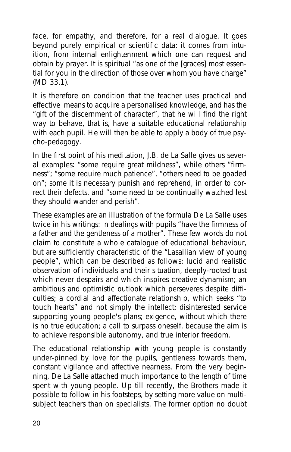face, for empathy, and therefore, for a real dialogue. It goes beyond purely empirical or scientific data: it comes from intuition, from internal enlightenment which one can request and obtain by prayer. It is spiritual "*as one of the [graces] most essential for you in the direction of those over whom you have charge*" (MD 33,1).

It is therefore on condition that the teacher uses practical and effective means to acquire a personalised knowledge, and has the "*gift of the discernment of character*", that he will find the right way to behave, that is, have a suitable educational relationship with each pupil. He will then be able to apply a body of true psycho-pedagogy.

In the first point of his meditation, J.B. de La Salle gives us several examples: "*some require great mildness*", while others "*firmness*"; "*some require much patience*", "*others need to be goaded on*"; some it is necessary punish and reprehend, in order to correct their defects, and "*some need to be continually watched lest they should wander and perish*".

These examples are an illustration of the formula De La Salle uses twice in his writings: in dealings with pupils "*have the firmness of a father and the gentleness of a mother*". These few words do not claim to constitute a whole catalogue of educational behaviour, but are sufficiently characteristic of the "Lasallian view of young people", which can be described as follows: lucid and realistic observation of individuals and their situation, deeply-rooted trust which never despairs and which inspires creative dynamism; an ambitious and optimistic outlook which perseveres despite difficulties; a cordial and affectionate relationship, which seeks "*to touch hearts*" and not simply the intellect; disinterested service supporting young people's plans; exigence, without which there is no true education; a call to surpass oneself, because the aim is to achieve responsible autonomy, and true interior freedom.

The educational relationship with young people is constantly under-pinned by love for the pupils, gentleness towards them, constant vigilance and affective nearness. From the very beginning, De La Salle attached much importance to the length of time spent with young people. Up till recently, the Brothers made it possible to follow in his footsteps, by setting more value on multisubject teachers than on specialists. The former option no doubt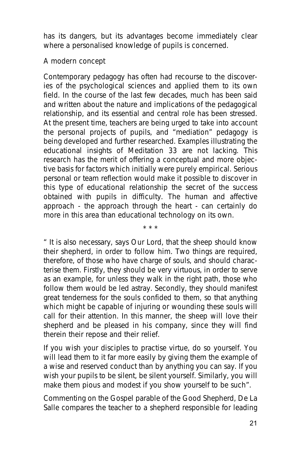has its dangers, but its advantages become immediately clear where a personalised knowledge of pupils is concerned.

#### **A modern concept**

Contemporary pedagogy has often had recourse to the discoveries of the psychological sciences and applied them to its own field. In the course of the last few decades, much has been said and written about the nature and implications of the pedagogical relationship, and its essential and central role has been stressed. At the present time, teachers are being urged to take into account the *personal projects of pupils*, and "mediation" pedagogy is being developed and further researched. Examples illustrating the educational insights of *Meditation 33* are not lacking. This research has the merit of offering a conceptual and more objective basis for factors which initially were purely empirical. Serious personal or team reflection would make it possible to discover in this type of educational relationship the secret of the success obtained with pupils in difficulty. The human and affective approach - the approach through the heart - can certainly do more in this area than educational technology on its own.

*" It is also necessary, says Our Lord, that the sheep should know their shepherd, in order to follow him. Two things are required, therefore, of those who have charge of souls, and should characterise them. Firstly, they should be very virtuous, in order to serve as an example, for unless they walk in the right path, those who follow them would be led astray. Secondly, they should manifest great tenderness for the souls confided to them, so that anything which might be capable of injuring or wounding these souls will call for their attention. In this manner, the sheep will love their shepherd and be pleased in his company, since they will find therein their repose and their relief.*

\* \* \*

*If you wish your disciples to practise virtue, do so yourself. You will lead them to it far more easily by giving them the example of a wise and reserved conduct than by anything you can say. If you wish your pupils to be silent, be silent yourself. Similarly, you will make them pious and modest if you show yourself to be such"*.

Commenting on the Gospel parable of the Good Shepherd, De La Salle compares the teacher to a shepherd responsible for leading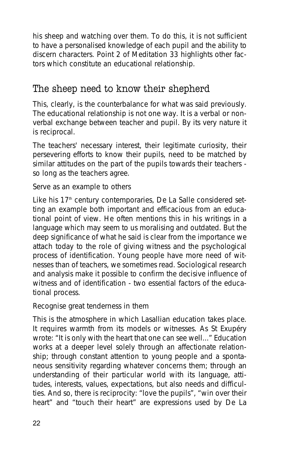his sheep and watching over them. To do this, it is not sufficient to have a personalised knowledge of each pupil and the ability to discern characters. Point 2 of *Meditation 33* highlights other factors which constitute an educational relationship.

## The sheep need to know their shepherd

This, clearly, is the counterbalance for what was said previously. The educational relationship is not one way. It is a verbal or nonverbal exchange between teacher and pupil. By its very nature it is reciprocal.

The teachers' necessary interest, their legitimate curiosity, their persevering efforts to know their pupils, need to be matched by similar attitudes on the part of the pupils towards their teachers so long as the teachers agree.

Serve as an example to others

Like his 17<sup>th</sup> century contemporaries, De La Salle considered setting an example both important and efficacious from an educational point of view. He often mentions this in his writings in a language which may seem to us moralising and outdated. But the deep significance of what he said is clear from the importance we attach today to the role of giving witness and the psychological process of identification. Young people have more need of witnesses than of teachers, we sometimes read. Sociological research and analysis make it possible to confirm the decisive influence of witness and of identification - two essential factors of the educational process.

Recognise great tenderness in them

This is the atmosphere in which Lasallian education takes place. It requires warmth from its models or witnesses. As St Exupéry wrote: "*It is only with the heart that one can see well...*" Education works at a deeper level solely through an affectionate relationship; through constant attention to young people and a spontaneous sensitivity regarding whatever concerns them; through an understanding of their particular world with its language, attitudes, interests, values, expectations, but also needs and difficulties. And so, there is reciprocity: "*love the pupils*", "*win over their heart*" and "*touch their heart*" are expressions used by De La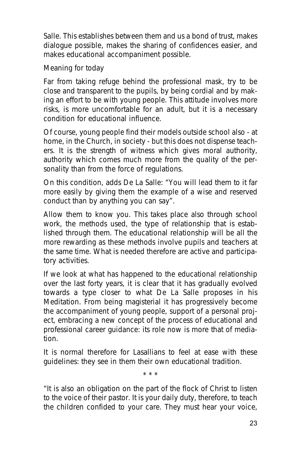Salle. This establishes between them and us a bond of trust, makes dialogue possible, makes the sharing of confidences easier, and makes educational accompaniment possible.

Meaning for today

Far from taking refuge behind the professional mask, try to be close and transparent to the pupils, by being cordial and by making an effort to be with young people. This attitude involves more risks, is more uncomfortable for an adult, but it is a necessary condition for educational influence.

Of course, young people find their models outside school also - at home, in the Church, in society - but this does not dispense teachers. It is the strength of witness which gives moral authority, authority which comes much more from the quality of the personality than from the force of regulations.

On this condition, adds De La Salle: "*You will lead them to it far more easily by giving them the example of a wise and reserved conduct than by anything you can say*".

Allow them to know you. This takes place also through school work, the methods used, the type of relationship that is established through them. The educational relationship will be all the more rewarding as these methods involve pupils and teachers at the same time. What is needed therefore are active and participatory activities.

If we look at what has happened to the educational relationship over the last forty years, it is clear that it has gradually evolved towards a type closer to what De La Salle proposes in his *Meditation*. From being magisterial it has progressively become the accompaniment of young people, support of a personal project, embracing a new concept of the process of educational and professional career guidance: its role now is more that of mediation.

It is normal therefore for Lasallians to feel at ease with these guidelines: they see in them their own educational tradition. \* \* \*

"*It is also an obligation on the part of the flock of Christ to listen to the voice of their pastor. It is your daily duty, therefore, to teach the children confided to your care. They must hear your voice,*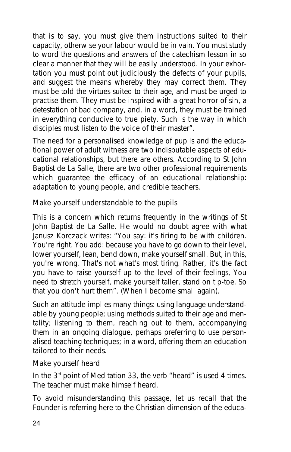*that is to say, you must give them instructions suited to their capacity, otherwise your labour would be in vain. You must study to word the questions and answers of the catechism lesson in so clear a manner that they will be easily understood. In your exhortation you must point out judiciously the defects of your pupils, and suggest the means whereby they may correct them. They must be told the virtues suited to their age, and must be urged to practise them. They must be inspired with a great horror of sin, a detestation of bad company, and, in a word, they must be trained in everything conducive to true piety. Such is the way in which disciples must listen to the voice of their master*".

The need for a personalised knowledge of pupils and the educational power of adult witness are two indisputable aspects of educational relationships, but there are others. According to St John Baptist de La Salle, there are two other professional requirements which guarantee the efficacy of an educational relationship: adaptation to young people, and credible teachers.

#### **Make yourself understandable to the pupils**

This is a concern which returns frequently in the writings of St John Baptist de La Salle. He would no doubt agree with what Janusz Korczack writes: "*You say: it's tiring to be with children. You're right. You add: because you have to go down to their level, lower yourself, lean, bend down, make yourself small. But, in this, you're wrong. That's not what's most tiring. Rather, it's the fact you have to raise yourself up to the level of their feelings, You need to stretch yourself, make yourself taller, stand on tip-toe. So that you don't hurt them*". (*When I become small again*).

Such an attitude implies many things: using language understandable by young people; using methods suited to their age and mentality; listening to them, reaching out to them, accompanying them in an ongoing dialogue, perhaps preferring to use personalised teaching techniques; in a word, offering them an education tailored to their needs.

Make yourself heard

In the 3rd point of *Meditation 33*, the verb "heard" is used 4 times. The teacher must make himself heard.

To avoid misunderstanding this passage, let us recall that the Founder is referring here to the Christian dimension of the educa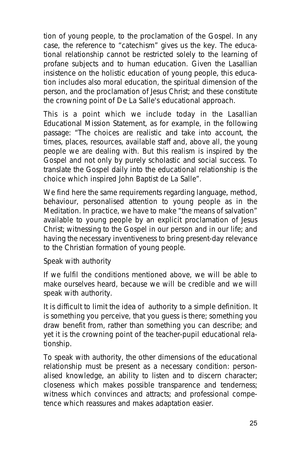tion of young people, to the proclamation of the Gospel. In any case, the reference to "catechism" gives us the key. The educational relationship cannot be restricted solely to the learning of profane subjects and to human education. Given the Lasallian insistence on the holistic education of young people, this education includes also moral education, the spiritual dimension of the person, and the proclamation of Jesus Christ; and these constitute the crowning point of De La Salle's educational approach.

This is a point which we include today in the Lasallian Educational Mission Statement, as for example, in the following passage: "*The choices are realistic and take into account, the times, places, resources, available staff and, above all, the young people we are dealing with. But this realism is inspired by the Gospel and not only by purely scholastic and social success. To translate the Gospel daily into the educational relationship is the choice which inspired John Baptist de La Salle*".

We find here the same requirements regarding language, method, behaviour, personalised attention to young people as in the *Meditation*. In practice, we have to make "*the means of salvation*" available to young people by an explicit proclamation of Jesus Christ; witnessing to the Gospel in our person and in our life; and having the necessary inventiveness to bring present-day relevance to the Christian formation of young people.

Speak with authority

If we fulfil the conditions mentioned above, we will be able to make ourselves heard, because we will be credible and we will speak with authority.

It is difficult to limit the idea of authority to a simple definition. It is something you perceive, that you guess is there; something you draw benefit from, rather than something you can describe; and yet it is the crowning point of the teacher-pupil educational relationship.

To speak with authority, the other dimensions of the educational relationship must be present as a necessary condition: personalised knowledge, an ability to listen and to discern character; closeness which makes possible transparence and tenderness; witness which convinces and attracts; and professional competence which reassures and makes adaptation easier.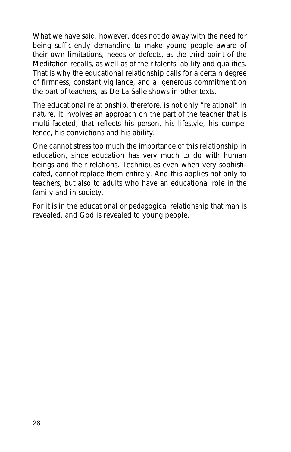What we have said, however, does not do away with the need for being sufficiently demanding to make young people aware of their own limitations, needs or defects, as the third point of the *Meditation* recalls, as well as of their talents, ability and qualities. That is why the educational relationship calls for a certain degree of firmness, constant vigilance, and a generous commitment on the part of teachers, as De La Salle shows in other texts.

The educational relationship, therefore, is not only "relational" in nature. It involves an approach on the part of the teacher that is multi-faceted, that reflects his person, his lifestyle, his competence, his convictions and his ability.

One cannot stress too much the importance of this relationship in education, since education has very much to do with human beings and their relations. Techniques even when very sophisticated, cannot replace them entirely. And this applies not only to teachers, but also to adults who have an educational role in the family and in society.

For it is in the educational or pedagogical relationship that man is revealed, and God is revealed to young people.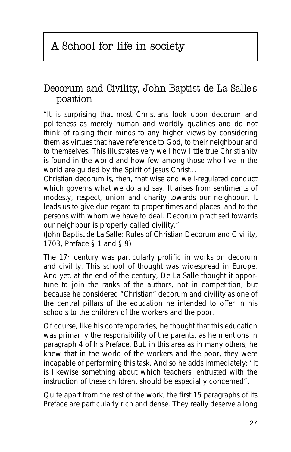## Decorum and Civility, John Baptist de La Salle's position

"*It is surprising that most Christians look upon decorum and politeness as merely human and worldly qualities and do not think of raising their minds to any higher views by considering them as virtues that have reference to God, to their neighbour and to themselves. This illustrates very well how little true Christianity is found in the world and how few among those who live in the world are guided by the Spirit of Jesus Christ...*

*Christian decorum is, then, that wise and well-regulated conduct which governs what we do and say. It arises from sentiments of modesty, respect, union and charity towards our neighbour. It leads us to give due regard to proper times and places, and to the persons with whom we have to deal. Decorum practised towards our neighbour is properly called civility.*"

(John Baptist de La Salle: *Rules of Christian Decorum and Civility*, 1703, Preface § 1 and § 9)

The  $17<sup>th</sup>$  century was particularly prolific in works on decorum and civility. This school of thought was widespread in Europe. And yet, at the end of the century, De La Salle thought it opportune to join the ranks of the authors, not in competition, but because he considered "Christian" decorum and civility as one of the central pillars of the education he intended to offer in his schools to the children of the workers and the poor.

Of course, like his contemporaries, he thought that this education was primarily the responsibility of the parents, as he mentions in paragraph 4 of his *Preface*. But, in this area as in many others, he knew that in the world of the workers and the poor, they were incapable of performing this task. And so he adds immediately: "*It is likewise something about which teachers, entrusted with the instruction of these children, should be especially concerned*".

Quite apart from the rest of the work, the first 15 paragraphs of its *Preface* are particularly rich and dense. They really deserve a long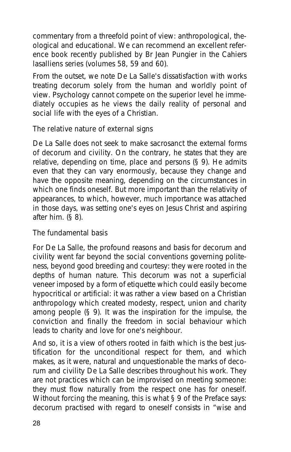commentary from a threefold point of view: anthropological, theological and educational. We can recommend an excellent reference book recently published by Br Jean Pungier in the *Cahiers lasalliens* series (volumes 58, 59 and 60).

From the outset, we note De La Salle's dissatisfaction with works treating decorum solely from the human and worldly point of view. Psychology cannot compete on the superior level he immediately occupies as he views the daily reality of personal and social life with the eyes of a Christian.

#### **The relative nature of external signs**

De La Salle does not seek to make sacrosanct the external forms of decorum and civility. On the contrary, he states that they are relative, depending on time, place and persons (§ 9). He admits even that they can vary enormously, because they change and have the opposite meaning, depending on the circumstances in which one finds oneself. But more important than the relativity of appearances, to which, however, much importance was attached in those days, was setting one's eyes on Jesus Christ and aspiring after him. (§ 8).

#### **The fundamental basis**

For De La Salle, the profound reasons and basis for decorum and civility went far beyond the social conventions governing politeness, beyond good breeding and courtesy: they were rooted in the depths of human nature. This decorum was not a superficial veneer imposed by a form of etiquette which could easily become hypocritical or artificial: it was rather a view based on a Christian anthropology which created modesty, respect, union and charity among people (§ 9). It was the inspiration for the impulse, the conviction and finally the freedom in social behaviour which leads to charity and love for one's neighbour.

And so, it is a view of others rooted in faith which is the best justification for the unconditional respect for them, and which makes, as it were, natural and unquestionable the marks of decorum and civility De La Salle describes throughout his work. They are not practices which can be improvised on meeting someone: they must flow naturally from the respect one has for oneself. Without forcing the meaning, this is what § 9 of the *Preface* says: decorum practised with regard to oneself consists in "*wise and*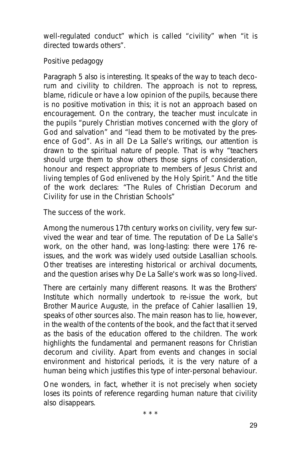*well-regulated conduct*" which is called "*civility*" when "*it is directed towards others*".

#### **Positive pedagogy**

Paragraph 5 also is interesting. It speaks of the way to teach decorum and civility to children. The approach is not to repress, blame, ridicule or have a low opinion of the pupils, because there is no positive motivation in this; it is not an approach based on encouragement. On the contrary, the teacher must inculcate in the pupils "*purely Christian motives concerned with the glory of God and salvation*" and "*lead them to be motivated by the presence of God*". As in all De La Salle's writings, our attention is drawn to the spiritual nature of people. That is why "*teachers should urge them to show others those signs of consideration, honour and respect appropriate to members of Jesus Christ and living temples of God enlivened by the Holy Spirit.*" And the title of the work declares: "*The Rules of Christian Decorum and Civility for use in the Christian Schools*"

#### **The success of the work.**

Among the numerous 17th century works on civility, very few survived the wear and tear of time. The reputation of De La Salle's work, on the other hand, was long-lasting: there were 176 reissues, and the work was widely used outside Lasallian schools. Other treatises are interesting historical or archival documents, and the question arises why De La Salle's work was so long-lived.

There are certainly many different reasons. It was the Brothers' Institute which normally undertook to re-issue the work, but Brother Maurice Auguste, in the preface of *Cahier lasallien* 19, speaks of other sources also. The main reason has to lie, however, in the wealth of the contents of the book, and the fact that it served as the basis of the education offered to the children. The work highlights the fundamental and permanent reasons for Christian decorum and civility. Apart from events and changes in social environment and historical periods, it is the very nature of a human being which justifies this type of inter-personal behaviour.

One wonders, in fact, whether it is not precisely when society loses its points of reference regarding human nature that civility also disappears.

\* \* \*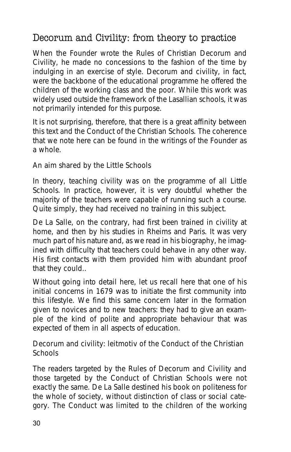## Decorum and Civility: from theory to practice

When the Founder wrote the *Rules of Christian Decorum and Civility*, he made no concessions to the fashion of the time by indulging in an exercise of style. Decorum and civility, in fact, were the backbone of the educational programme he offered the children of the working class and the poor. While this work was widely used outside the framework of the Lasallian schools, it was not primarily intended for this purpose.

It is not surprising, therefore, that there is a great affinity between this text and the *Conduct of the Christian Schools*. The coherence that we note here can be found in the writings of the Founder as a whole.

#### **An aim shared by the Little Schools**

In theory, teaching civility was on the programme of all Little Schools. In practice, however, it is very doubtful whether the majority of the teachers were capable of running such a course. Quite simply, they had received no training in this subject.

De La Salle, on the contrary, had first been trained in civility at home, and then by his studies in Rheims and Paris. It was very much part of his nature and, as we read in his biography, he imagined with difficulty that teachers could behave in any other way. His first contacts with them provided him with abundant proof that they could..

Without going into detail here, let us recall here that one of his initial concerns in 1679 was to initiate the first community into this lifestyle. We find this same concern later in the formation given to novices and to new teachers: they had to give an example of the kind of polite and appropriate behaviour that was expected of them in all aspects of education.

#### **Decorum and civility:** *leitmotiv* **of the Conduct of the Christian Schools**

The readers targeted by the *Rules of Decorum and Civility* and those targeted by the *Conduct of Christian Schools* were not exactly the same. De La Salle destined his book on politeness for the whole of society, without distinction of class or social category. The *Conduct* was limited to the children of the working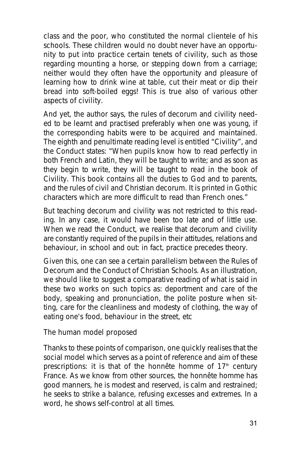class and the poor, who constituted the normal clientele of his schools. These children would no doubt never have an opportunity to put into practice certain tenets of civility, such as those regarding mounting a horse, or stepping down from a carriage; neither would they often have the opportunity and pleasure of learning how to drink wine at table, cut their meat or dip their bread into soft-boiled eggs! This is true also of various other aspects of civility.

And yet, the author says, the rules of decorum and civility needed to be learnt and practised preferably when one was young, if the corresponding habits were to be acquired and maintained. The eighth and penultimate reading level is entitled "*Civility*", and the *Conduct* states: "*When pupils know how to read perfectly in both French and Latin, they will be taught to write; and as soon as they begin to write, they will be taught to read in the book of Civility. This book contains all the duties to God and to parents, and the rules of civil and Christian decorum. It is printed in Gothic characters which are more difficult to read than French ones.*"

But teaching decorum and civility was not restricted to this reading. In any case, it would have been too late and of little use. When we read the *Conduct*, we realise that decorum and civility are constantly required of the pupils in their attitudes, relations and behaviour, in school and out: in fact, practice precedes theory.

Given this, one can see a certain parallelism between the *Rules of Decorum* and the *Conduct of Christian Schools*. As an illustration, we should like to suggest a comparative reading of what is said in these two works on such topics as: deportment and care of the body, speaking and pronunciation, the polite posture when sitting, care for the cleanliness and modesty of clothing, the way of eating one's food, behaviour in the street, etc

#### **The human model proposed**

Thanks to these points of comparison, one quickly realises that the social model which serves as a point of reference and aim of these prescriptions: it is that of the *honnête homme* of 17<sup>th</sup> century France. As we know from other sources, the *honnête homme* has good manners, he is modest and reserved, is calm and restrained; he seeks to strike a balance, refusing excesses and extremes. In a word, he shows self-control at all times.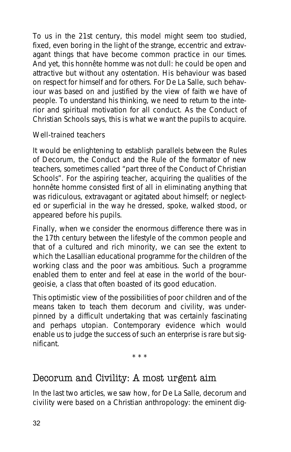To us in the 21st century, this model might seem too studied, fixed, even boring in the light of the strange, eccentric and extravagant things that have become common practice in our times. And yet, this *honnête homme* was not dull: he could be open and attractive but without any ostentation. His behaviour was based on respect for himself and for others. For De La Salle, such behaviour was based on and justified by the view of faith we have of people. To understand his thinking, we need to return to the interior and spiritual motivation for all conduct. As the Conduct of Christian Schools says, this is what we want the pupils to acquire.

#### **Well-trained teachers**

It would be enlightening to establish parallels between the *Rules of Decorum*, the *Conduct* and the *Rule* of the formator of new teachers, sometimes called "*part three of the Conduct of Christian Schools*". For the aspiring teacher, acquiring the qualities of the *honnête homme* consisted first of all in eliminating anything that was ridiculous, extravagant or agitated about himself; or neglected or superficial in the way he dressed, spoke, walked stood, or appeared before his pupils.

Finally, when we consider the enormous difference there was in the 17th century between the lifestyle of the common people and that of a cultured and rich minority, we can see the extent to which the Lasallian educational programme for the children of the working class and the poor was ambitious. Such a programme enabled them to enter and feel at ease in the world of the *bourgeoisie*, a class that often boasted of its good education.

This optimistic view of the possibilities of poor children and of the means taken to teach them decorum and civility, was underpinned by a difficult undertaking that was certainly fascinating and perhaps utopian. Contemporary evidence which would enable us to judge the success of such an enterprise is rare but significant.

\* \* \*

## Decorum and Civility: A most urgent aim

In the last two articles, we saw how, for De La Salle, decorum and civility were based on a Christian anthropology: the eminent dig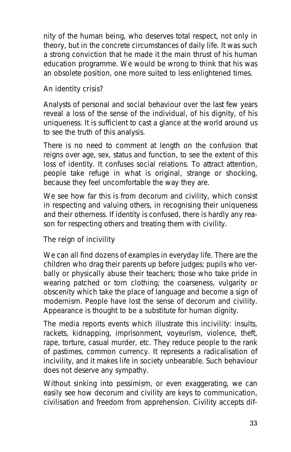nity of the human being, who deserves total respect, not only in theory, but in the concrete circumstances of daily life. It was such a strong conviction that he made it the main thrust of his human education programme. We would be wrong to think that his was an obsolete position, one more suited to less enlightened times.

#### **An identity crisis?**

Analysts of personal and social behaviour over the last few years reveal a loss of the sense of the individual, of his dignity, of his uniqueness. It is sufficient to cast a glance at the world around us to see the truth of this analysis.

There is no need to comment at length on the confusion that reigns over age, sex, status and function, to see the extent of this loss of identity. It confuses social relations. To attract attention, people take refuge in what is original, strange or shocking, because they feel uncomfortable the way they are.

We see how far this is from decorum and civility, which consist in respecting and valuing others, in recognising their uniqueness and their otherness. If identity is confused, there is hardly any reason for respecting others and treating them with civility.

#### **The reign of incivility**

We can all find dozens of examples in everyday life. There are the children who drag their parents up before judges; pupils who verbally or physically abuse their teachers; those who take pride in wearing patched or torn clothing; the coarseness, vulgarity or obscenity which take the place of language and become a sign of modernism. People have lost the sense of decorum and civility. Appearance is thought to be a substitute for human dignity.

The media reports events which illustrate this incivility: insults, rackets, kidnapping, imprisonment, voyeurism, violence, theft, rape, torture, casual murder, etc. They reduce people to the rank of pastimes, common currency. It represents a radicalisation of incivility, and it makes life in society unbearable. Such behaviour does not deserve any sympathy.

Without sinking into pessimism, or even exaggerating, we can easily see how decorum and civility are keys to communication, civilisation and freedom from apprehension. Civility accepts dif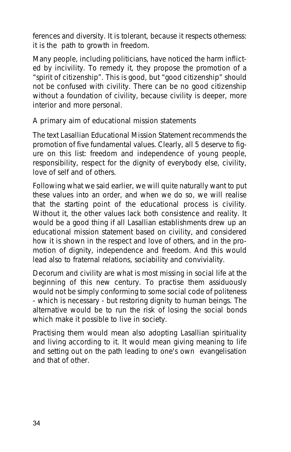ferences and diversity. It is tolerant, because it respects otherness: it is the path to growth in freedom.

Many people, including politicians, have noticed the harm inflicted by incivility. To remedy it, they propose the promotion of a "spirit of citizenship". This is good, but "good citizenship" should not be confused with civility. There can be no good citizenship without a foundation of civility, because civility is deeper, more interior and more personal.

#### **A primary aim of educational mission statements**

The text *Lasallian Educational Mission Statement* recommends the promotion of five fundamental values. Clearly, all 5 deserve to figure on this list: freedom and independence of young people, responsibility, respect for the dignity of everybody else, civility, love of self and of others.

Following what we said earlier, we will quite naturally want to put these values into an order, and when we do so, we will realise that the starting point of the educational process is civility. Without it, the other values lack both consistence and reality. It would be a good thing if all Lasallian establishments drew up an educational mission statement based on civility, and considered how it is shown in the respect and love of others, and in the promotion of dignity, independence and freedom. And this would lead also to fraternal relations, sociability and conviviality.

Decorum and civility are what is most missing in social life at the beginning of this new century. To practise them assiduously would not be simply conforming to some social code of politeness - which is necessary - but restoring dignity to human beings. The alternative would be to run the risk of losing the social bonds which make it possible to live in society.

Practising them would mean also adopting Lasallian spirituality and living according to it. It would mean giving meaning to life and setting out on the path leading to one's own evangelisation and that of other.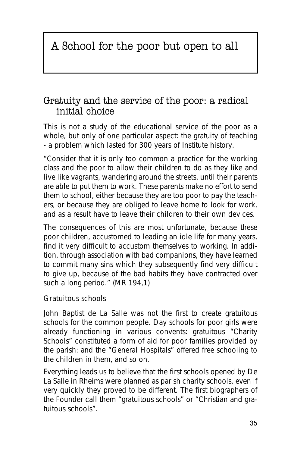## A School for the poor but open to all

### Gratuity and the service of the poor: a radical initial choice

This is not a study of the educational service of the poor as a whole, but only of one particular aspect: the gratuity of teaching - a problem which lasted for 300 years of Institute history.

"*Consider that it is only too common a practice for the working class and the poor to allow their children to do as they like and live like vagrants, wandering around the streets, until their parents are able to put them to work. These parents make no effort to send them to school, either because they are too poor to pay the teachers, or because they are obliged to leave home to look for work, and as a result have to leave their children to their own devices.*

*The consequences of this are most unfortunate, because these poor children, accustomed to leading an idle life for many years, find it very difficult to accustom themselves to working. In addition, through association with bad companions, they have learned to commit many sins which they subsequently find very difficult to give up, because of the bad habits they have contracted over such a long period.*" (MR 194,1)

#### **Gratuitous schools**

John Baptist de La Salle was not the first to create gratuitous schools for the common people. Day schools for poor girls were already functioning in various convents: gratuitous "*Charity Schools*" constituted a form of aid for poor families provided by the parish: and the "*General Hospitals*" offered free schooling to the children in them, and so on.

Everything leads us to believe that the first schools opened by De La Salle in Rheims were planned as parish charity schools, even if very quickly they proved to be different. The first biographers of the Founder call them "*gratuitous schools*" or "*Christian and gratuitous schools*".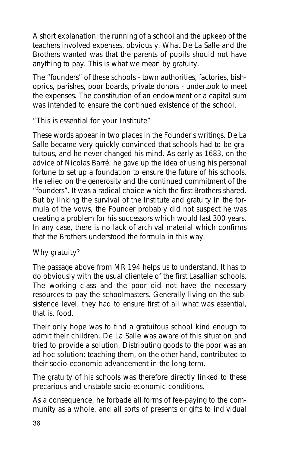A short explanation: the running of a school and the upkeep of the teachers involved expenses, obviously. What De La Salle and the Brothers wanted was that the parents of pupils should not have anything to pay. This is what we mean by gratuity.

The "founders" of these schools - town authorities, factories, bishoprics, parishes, poor boards, private donors - undertook to meet the expenses. The constitution of an endowment or a capital sum was intended to ensure the continued existence of the school.

#### **"This is essential for your Institute"**

These words appear in two places in the Founder's writings. De La Salle became very quickly convinced that schools had to be gratuitous, and he never changed his mind. As early as 1683, on the advice of Nicolas Barré, he gave up the idea of using his personal fortune to set up a foundation to ensure the future of his schools. He relied on the generosity and the continued commitment of the "founders". It was a radical choice which the first Brothers shared. But by linking the survival of the Institute and gratuity in the formula of the vows, the Founder probably did not suspect he was creating a problem for his successors which would last 300 years. In any case, there is no lack of archival material which confirms that the Brothers understood the formula in this way.

#### **Why gratuity?**

The passage above from MR 194 helps us to understand. It has to do obviously with the usual clientele of the first Lasallian schools. The working class and the poor did not have the necessary resources to pay the schoolmasters. Generally living on the subsistence level, they had to ensure first of all what was essential, that is, food.

Their only hope was to find a gratuitous school kind enough to admit their children. De La Salle was aware of this situation and tried to provide a solution. Distributing goods to the poor was an ad hoc solution: teaching them, on the other hand, contributed to their socio-economic advancement in the long-term.

The gratuity of his schools was therefore directly linked to these precarious and unstable socio-economic conditions.

As a consequence, he forbade all forms of fee-paying to the community as a whole, and all sorts of presents or gifts to individual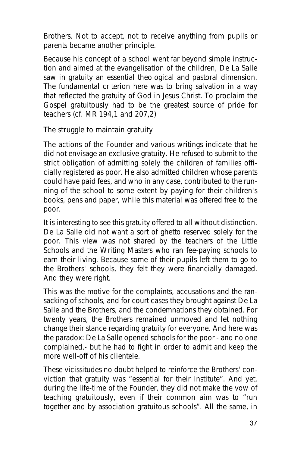Brothers. Not to accept, not to receive anything from pupils or parents became another principle.

Because his concept of a school went far beyond simple instruction and aimed at the evangelisation of the children, De La Salle saw in gratuity an essential theological and pastoral dimension. The fundamental criterion here was to bring salvation in a way that reflected the gratuity of God in Jesus Christ. To proclaim the Gospel gratuitously had to be the greatest source of pride for teachers (cf. MR 194,1 and 207,2)

#### **The struggle to maintain gratuity**

The actions of the Founder and various writings indicate that he did not envisage an exclusive gratuity. He refused to submit to the strict obligation of admitting solely the children of families officially registered as poor. He also admitted children whose parents could have paid fees, and who in any case, contributed to the running of the school to some extent by paying for their children's books, pens and paper, while this material was offered free to the poor.

It is interesting to see this gratuity offered to all without distinction. De La Salle did not want a sort of ghetto reserved solely for the poor. This view was not shared by the teachers of the Little Schools and the Writing Masters who ran fee-paying schools to earn their living. Because some of their pupils left them to go to the Brothers' schools, they felt they were financially damaged. And they were right.

This was the motive for the complaints, accusations and the ransacking of schools, and for court cases they brought against De La Salle and the Brothers, and the condemnations they obtained. For twenty years, the Brothers remained unmoved and let nothing change their stance regarding gratuity for everyone. And here was the paradox: De La Salle opened schools for the poor - and no one complained.- but he had to fight in order to admit and keep the more well-off of his clientele.

These vicissitudes no doubt helped to reinforce the Brothers' conviction that gratuity was "*essential for their Institute*". And yet, during the life-time of the Founder, they did not make the vow of teaching gratuitously, even if their common aim was to "*run together and by association gratuitous schools*". All the same, in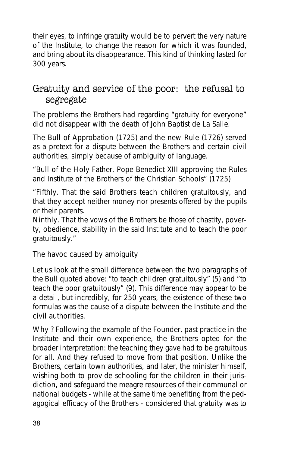their eyes, to infringe gratuity would be to pervert the very nature of the Institute, to change the reason for which it was founded, and bring about its disappearance. This kind of thinking lasted for 300 years.

## Gratuity and service of the poor: the refusal to segregate

The problems the Brothers had regarding "gratuity for everyone" did not disappear with the death of John Baptist de La Salle.

The Bull of Approbation (1725) and the new Rule (1726) served as a pretext for a dispute between the Brothers and certain civil authorities, simply because of ambiguity of language.

"*Bull of the Holy Father, Pope Benedict XIII approving the Rules and Institute of the Brothers of the Christian Schools*" (1725)

"*Fifthly. That the said Brothers teach children gratuitously, and that they accept neither money nor presents offered by the pupils or their parents.*

*Ninthly. That the vows of the Brothers be those of chastity, poverty, obedience, stability in the said Institute and to teach the poor gratuitously.*"

#### **The havoc caused by ambiguity**

Let us look at the small difference between the two paragraphs of the Bull quoted above: "*to teach children gratuitously*" (5) and "*to teach the poor gratuitously*" (9). This difference may appear to be a detail, but incredibly, for 250 years, the existence of these two formulas was the cause of a dispute between the Institute and the civil authorities.

Why ? Following the example of the Founder, past practice in the Institute and their own experience, the Brothers opted for the broader interpretation: the teaching they gave had to be gratuitous for all. And they refused to move from that position. Unlike the Brothers, certain town authorities, and later, the minister himself, wishing both to provide schooling for the children in their jurisdiction, and safeguard the meagre resources of their communal or national budgets - while at the same time benefiting from the pedagogical efficacy of the Brothers - considered that gratuity was to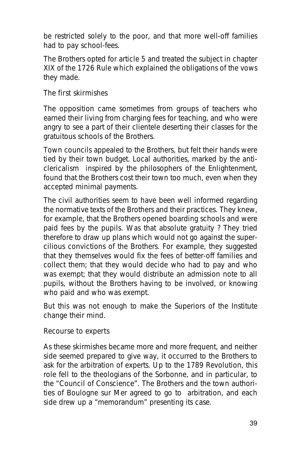be restricted solely to the poor, and that more well-off families had to pay school-fees.

The Brothers opted for article 5 and treated the subject in chapter XIX of the 1726 Rule which explained the obligations of the vows they made.

#### **The first skirmishes**

The opposition came sometimes from groups of teachers who earned their living from charging fees for teaching, and who were angry to see a part of their clientele deserting their classes for the gratuitous schools of the Brothers.

Town councils appealed to the Brothers, but felt their hands were tied by their town budget. Local authorities, marked by the anticlericalism inspired by the philosophers of the Enlightenment, found that the Brothers cost their town too much, even when they accepted minimal payments.

The civil authorities seem to have been well informed regarding the normative texts of the Brothers and their practices. They knew, for example, that the Brothers opened boarding schools and were paid fees by the pupils. Was that absolute gratuity ? They tried therefore to draw up plans which would not go against the supercilious convictions of the Brothers. For example, they suggested that they themselves would fix the fees of better-off families and collect them; that they would decide who had to pay and who was exempt; that they would distribute an admission note to all pupils, without the Brothers having to be involved, or knowing who paid and who was exempt.

But this was not enough to make the Superiors of the Institute change their mind.

#### **Recourse to experts**

As these skirmishes became more and more frequent, and neither side seemed prepared to give way, it occurred to the Brothers to ask for the arbitration of experts. Up to the 1789 Revolution, this role fell to the theologians of the Sorbonne, and in particular, to the "Council of Conscience". The Brothers and the town authorities of Boulogne sur Mer agreed to go to arbitration, and each side drew up a "memorandum" presenting its case.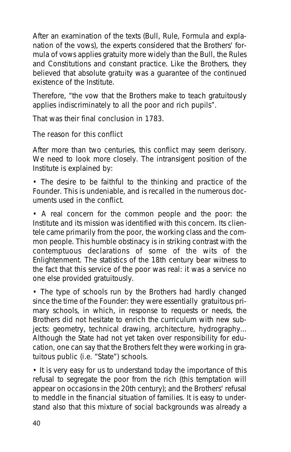After an examination of the texts (*Bull, Rule, Formula* and explanation of the vows), the experts considered that the Brothers' formula of vows applies gratuity more widely than the Bull, the Rules and Constitutions and constant practice. Like the Brothers, they believed that absolute gratuity was a guarantee of the continued existence of the Institute.

Therefore, "*the vow that the Brothers make to teach gratuitously applies indiscriminately to all the poor and rich pupils*".

That was their final conclusion in 1783.

#### **The reason for this conflict**

After more than two centuries, this conflict may seem derisory. We need to look more closely. The intransigent position of the Institute is explained by:

• The desire to be faithful to the thinking and practice of the Founder. This is undeniable, and is recalled in the numerous documents used in the conflict.

• A real concern for the common people and the poor: the Institute and its mission was identified with this concern. Its clientele came primarily from the poor, the working class and the common people. This humble obstinacy is in striking contrast with the contemptuous declarations of some of the wits of the Enlightenment. The statistics of the 18th century bear witness to the fact that this service of the poor was real: it was a service no one else provided gratuitously.

• The type of schools run by the Brothers had hardly changed since the time of the Founder: they were essentially gratuitous primary schools, in which, in response to requests or needs, the Brothers did not hesitate to enrich the curriculum with new subjects: geometry, technical drawing, architecture, hydrography... Although the State had not yet taken over responsibility for education, one can say that the Brothers felt they were working in gratuitous public (i.e. "State") schools.

• It is very easy for us to understand today the importance of this refusal to segregate the poor from the rich (this temptation will appear on occasions in the 20th century); and the Brothers' refusal to meddle in the financial situation of families. It is easy to understand also that this mixture of social backgrounds was already a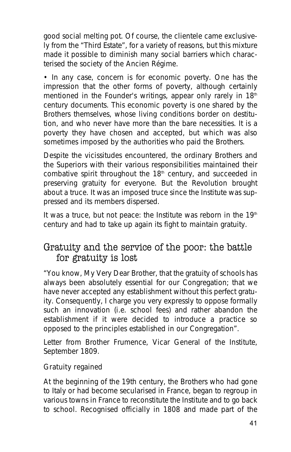good social melting pot. Of course, the clientele came exclusively from the "Third Estate", for a variety of reasons, but this mixture made it possible to diminish many social barriers which characterised the society of the Ancien Régime.

• In any case, concern is for economic poverty. One has the impression that the other forms of poverty, although certainly mentioned in the Founder's writings, appear only rarely in 18<sup>th</sup> century documents. This economic poverty is one shared by the Brothers themselves, whose living conditions border on destitution, and who never have more than the bare necessities. It is a poverty they have chosen and accepted, but which was also sometimes imposed by the authorities who paid the Brothers.

Despite the vicissitudes encountered, the ordinary Brothers and the Superiors with their various responsibilities maintained their combative spirit throughout the 18<sup>th</sup> century, and succeeded in preserving gratuity for everyone. But the Revolution brought about a truce. It was an imposed truce since the Institute was suppressed and its members dispersed.

It was a truce, but not peace: the Institute was reborn in the  $19<sup>th</sup>$ century and had to take up again its fight to maintain gratuity.

### Gratuity and the service of the poor: the battle for gratuity is lost

"You know, My Very Dear Brother, that the gratuity of schools has always been absolutely essential for our Congregation; that we have never accepted any establishment without this perfect gratuity. Consequently, I charge you very expressly to oppose formally such an innovation (i.e. school fees) and rather abandon the establishment if it were decided to introduce a practice so opposed to the principles established in our Congregation".

Letter from Brother Frumence, Vicar General of the Institute, September 1809.

#### **Gratuity regained**

At the beginning of the 19th century, the Brothers who had gone to Italy or had become secularised in France, began to regroup in various towns in France to reconstitute the Institute and to go back to school. Recognised officially in 1808 and made part of the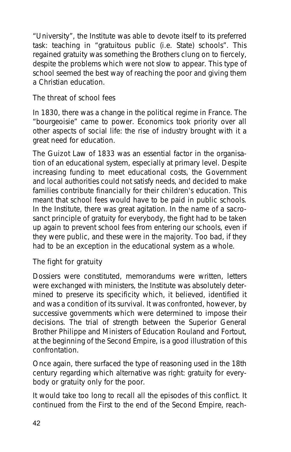"University", the Institute was able to devote itself to its preferred task: teaching in "gratuitous public (i.e. State) schools". This regained gratuity was something the Brothers clung on to fiercely, despite the problems which were not slow to appear. This type of school seemed the best way of reaching the poor and giving them a Christian education.

#### **The threat of school fees**

In 1830, there was a change in the political regime in France. The "bourgeoisie" came to power. Economics took priority over all other aspects of social life: the rise of industry brought with it a great need for education.

The Guizot Law of 1833 was an essential factor in the organisation of an educational system, especially at primary level. Despite increasing funding to meet educational costs, the Government and local authorities could not satisfy needs, and decided to make families contribute financially for their children's education. This meant that school fees would have to be paid in public schools. In the Institute, there was great agitation. In the name of a sacrosanct principle of gratuity for everybody, the fight had to be taken up again to prevent school fees from entering our schools, even if they were public, and these were in the majority. Too bad, if they had to be an exception in the educational system as a whole.

#### **The fight for gratuity**

Dossiers were constituted, memorandums were written, letters were exchanged with ministers, the Institute was absolutely determined to preserve its specificity which, it believed, identified it and was a condition of its survival. It was confronted, however, by successive governments which were determined to impose their decisions. The trial of strength between the Superior General Brother Philippe and Ministers of Education Rouland and Fortout, at the beginning of the Second Empire, is a good illustration of this confrontation.

Once again, there surfaced the type of reasoning used in the 18th century regarding which alternative was right: gratuity for everybody or gratuity only for the poor.

It would take too long to recall all the episodes of this conflict. It continued from the First to the end of the Second Empire, reach-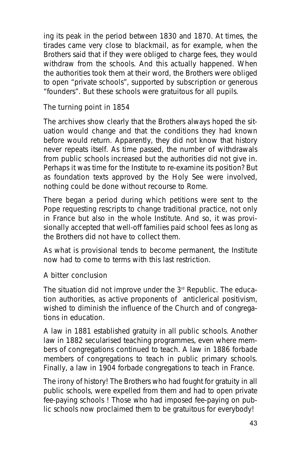ing its peak in the period between 1830 and 1870. At times, the tirades came very close to blackmail, as for example, when the Brothers said that if they were obliged to charge fees, they would withdraw from the schools. And this actually happened. When the authorities took them at their word, the Brothers were obliged to open "private schools", supported by subscription or generous "founders". But these schools were gratuitous for all pupils.

#### **The turning point in 1854**

The archives show clearly that the Brothers always hoped the situation would change and that the conditions they had known before would return. Apparently, they did not know that history never repeats itself. As time passed, the number of withdrawals from public schools increased but the authorities did not give in. Perhaps it was time for the Institute to re-examine its position? But as foundation texts approved by the Holy See were involved, nothing could be done without recourse to Rome.

There began a period during which petitions were sent to the Pope requesting rescripts to change traditional practice, not only in France but also in the whole Institute. And so, it was provisionally accepted that well-off families paid school fees as long as the Brothers did not have to collect them.

As what is provisional tends to become permanent, the Institute now had to come to terms with this last restriction.

#### **A bitter conclusion**

The situation did not improve under the  $3<sup>rd</sup>$  Republic. The education authorities, as active proponents of anticlerical positivism, wished to diminish the influence of the Church and of congregations in education.

A law in 1881 established gratuity in all public schools. Another law in 1882 secularised teaching programmes, even where members of congregations continued to teach. A law in 1886 forbade members of congregations to teach in public primary schools. Finally, a law in 1904 forbade congregations to teach in France.

The irony of history! The Brothers who had fought for gratuity in all public schools, were expelled from them and had to open private fee-paying schools ! Those who had imposed fee-paying on public schools now proclaimed them to be gratuitous for everybody!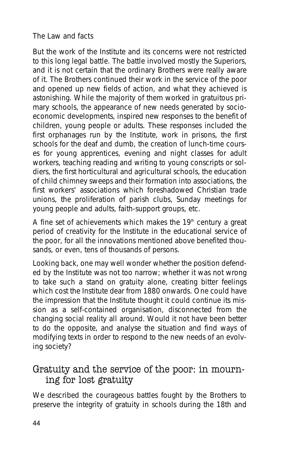#### **The Law and facts**

But the work of the Institute and its concerns were not restricted to this long legal battle. The battle involved mostly the Superiors, and it is not certain that the ordinary Brothers were really aware of it. The Brothers continued their work in the service of the poor and opened up new fields of action, and what they achieved is astonishing. While the majority of them worked in gratuitous primary schools, the appearance of new needs generated by socioeconomic developments, inspired new responses to the benefit of children, young people or adults. These responses included the first orphanages run by the Institute, work in prisons, the first schools for the deaf and dumb, the creation of lunch-time courses for young apprentices, evening and night classes for adult workers, teaching reading and writing to young conscripts or soldiers, the first horticultural and agricultural schools, the education of child chimney sweeps and their formation into associations, the first workers' associations which foreshadowed Christian trade unions, the proliferation of parish clubs, Sunday meetings for young people and adults, faith-support groups, etc.

A fine set of achievements which makes the  $19<sup>th</sup>$  century a great period of creativity for the Institute in the educational service of the poor, for all the innovations mentioned above benefited thousands, or even, tens of thousands of persons.

Looking back, one may well wonder whether the position defended by the Institute was not too narrow; whether it was not wrong to take such a stand on gratuity alone, creating bitter feelings which cost the Institute dear from 1880 onwards. One could have the impression that the Institute thought it could continue its mission as a self-contained organisation, disconnected from the changing social reality all around. Would it not have been better to do the opposite, and analyse the situation and find ways of modifying texts in order to respond to the new needs of an evolving society?

### Gratuity and the service of the poor: in mourning for lost gratuity

We described the courageous battles fought by the Brothers to preserve the integrity of gratuity in schools during the 18th and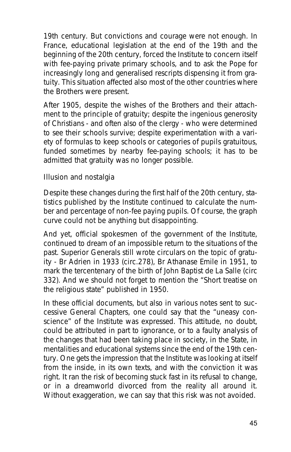19th century. But convictions and courage were not enough. In France, educational legislation at the end of the 19th and the beginning of the 20th century, forced the Institute to concern itself with fee-paying private primary schools, and to ask the Pope for increasingly long and generalised rescripts dispensing it from gratuity. This situation affected also most of the other countries where the Brothers were present.

After 1905, despite the wishes of the Brothers and their attachment to the principle of gratuity; despite the ingenious generosity of Christians - and often also of the clergy - who were determined to see their schools survive; despite experimentation with a variety of formulas to keep schools or categories of pupils gratuitous, funded sometimes by nearby fee-paying schools; it has to be admitted that gratuity was no longer possible.

#### **Illusion and nostalgia**

Despite these changes during the first half of the 20th century, statistics published by the Institute continued to calculate the number and percentage of non-fee paying pupils. Of course, the graph curve could not be anything but disappointing.

And yet, official spokesmen of the government of the Institute, continued to dream of an impossible return to the situations of the past. Superior Generals still wrote circulars on the topic of gratuity - Br Adrien in 1933 (circ.278), Br Athanase Emile in 1951, to mark the tercentenary of the birth of John Baptist de La Salle (circ 332). And we should not forget to mention the "Short treatise on the religious state" published in 1950.

In these official documents, but also in various notes sent to successive General Chapters, one could say that the "uneasy conscience" of the Institute was expressed. This attitude, no doubt, could be attributed in part to ignorance, or to a faulty analysis of the changes that had been taking place in society, in the State, in mentalities and educational systems since the end of the 19th century. One gets the impression that the Institute was looking at itself from the inside, in its own texts, and with the conviction it was right. It ran the risk of becoming stuck fast in its refusal to change, or in a dreamworld divorced from the reality all around it. Without exaggeration, we can say that this risk was not avoided.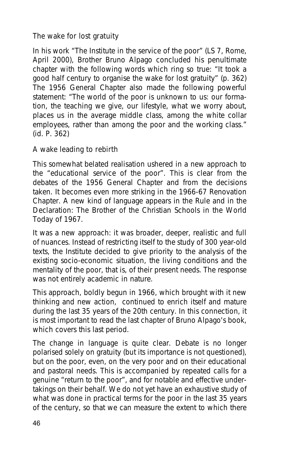#### **The wake for lost gratuity**

In his work "The Institute in the service of the poor" (LS 7, Rome, April 2000), Brother Bruno Alpago concluded his penultimate chapter with the following words which ring so true: "It took a good half century to organise the wake for lost gratuity" (p. 362) The 1956 General Chapter also made the following powerful statement: "The world of the poor is unknown to us: our formation, the teaching we give, our lifestyle, what we worry about, places us in the average middle class, among the white collar employees, rather than among the poor and the working class." (id. P. 362)

#### **A wake leading to rebirth**

This somewhat belated realisation ushered in a new approach to the "educational service of the poor". This is clear from the debates of the 1956 General Chapter and from the decisions taken. It becomes even more striking in the 1966-67 Renovation Chapter. A new kind of language appears in the *Rule* and in the *Declaration*: *The Brother of the Christian Schools in the World Today* of 1967.

It was a new approach: it was broader, deeper, realistic and full of nuances. Instead of restricting itself to the study of 300 year-old texts, the Institute decided to give priority to the analysis of the existing socio-economic situation, the living conditions and the mentality of the poor, that is, of their present needs. The response was not entirely academic in nature.

This approach, boldly begun in 1966, which brought with it new thinking and new action, continued to enrich itself and mature during the last 35 years of the 20th century. In this connection, it is most important to read the last chapter of Bruno Alpago's book, which covers this last period.

The change in language is quite clear. Debate is no longer polarised solely on gratuity (but its importance is not questioned), but on the poor, even, on the very poor and on their educational and pastoral needs. This is accompanied by repeated calls for a genuine "return to the poor", and for notable and effective undertakings on their behalf. We do not yet have an exhaustive study of what was done in practical terms for the poor in the last 35 years of the century, so that we can measure the extent to which there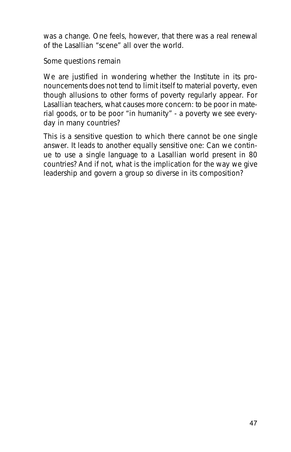was a change. One feels, however, that there was a real renewal of the Lasallian "scene" all over the world.

#### **Some questions remain**

We are justified in wondering whether the Institute in its pronouncements does not tend to limit itself to material poverty, even though allusions to other forms of poverty regularly appear. For Lasallian teachers, what causes more concern: to be poor in material goods, or to be poor "in humanity" - a poverty we see everyday in many countries?

This is a sensitive question to which there cannot be one single answer. It leads to another equally sensitive one: Can we continue to use a single language to a Lasallian world present in 80 countries? And if not, what is the implication for the way we give leadership and govern a group so diverse in its composition?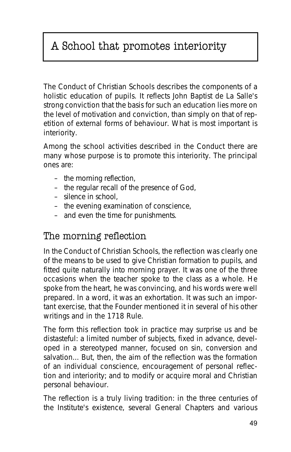## A School that promotes interiority

The *Conduct of Christian Schools* describes the components of a holistic education of pupils. It reflects John Baptist de La Salle's strong conviction that the basis for such an education lies more on the level of motivation and conviction, than simply on that of repetition of external forms of behaviour. What is most important is interiority.

Among the school activities described in the *Conduct* there are many whose purpose is to promote this interiority. The principal ones are:

- the morning reflection,
- the regular recall of the presence of God,
- silence in school,
- the evening examination of conscience,
- and even the time for punishments.

## The morning reflection

In the *Conduct of Christian Schools*, the reflection was clearly one of the means to be used to give Christian formation to pupils, and fitted quite naturally into morning prayer. It was one of the three occasions when the teacher spoke to the class as a whole. He spoke from the heart, he was convincing, and his words were well prepared. In a word, it was an exhortation. It was such an important exercise, that the Founder mentioned it in several of his other writings and in the *1718 Rule*.

The form this reflection took in practice may surprise us and be distasteful: a limited number of subjects, fixed in advance, developed in a stereotyped manner, focused on sin, conversion and salvation... But, then, the aim of the reflection was the formation of an individual conscience, encouragement of personal reflection and interiority; and to modify or acquire moral and Christian personal behaviour.

The reflection is a truly living tradition: in the three centuries of the Institute's existence, several General Chapters and various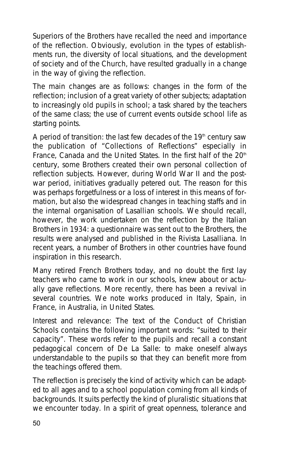Superiors of the Brothers have recalled the need and importance of the reflection. Obviously, evolution in the types of establishments run, the diversity of local situations, and the development of society and of the Church, have resulted gradually in a change in the way of giving the reflection.

The main changes are as follows: changes in the form of the reflection; inclusion of a great variety of other subjects; adaptation to increasingly old pupils in school; a task shared by the teachers of the same class; the use of current events outside school life as starting points.

A period of transition: the last few decades of the  $19<sup>th</sup>$  century saw the publication of "Collections of Reflections" especially in France, Canada and the United States. In the first half of the  $20<sup>th</sup>$ century, some Brothers created their own personal collection of reflection subjects. However, during World War II and the postwar period, initiatives gradually petered out. The reason for this was perhaps forgetfulness or a loss of interest in this means of formation, but also the widespread changes in teaching staffs and in the internal organisation of Lasallian schools. We should recall, however, the work undertaken on the reflection by the Italian Brothers in 1934: a questionnaire was sent out to the Brothers, the results were analysed and published in the *Rivista Lasalliana*. In recent years, a number of Brothers in other countries have found inspiration in this research.

Many retired French Brothers today, and no doubt the first lay teachers who came to work in our schools, knew about or actually gave reflections. More recently, there has been a revival in several countries. We note works produced in Italy, Spain, in France, in Australia, in United States.

Interest and relevance: The text of the *Conduct of Christian Schools* contains the following important words: "*suited to their capacity*". These words refer to the pupils and recall a constant pedagogical concern of De La Salle: to make oneself always understandable to the pupils so that they can benefit more from the teachings offered them.

The reflection is precisely the kind of activity which can be adapted to all ages and to a school population coming from all kinds of backgrounds. It suits perfectly the kind of pluralistic situations that we encounter today. In a spirit of great openness, tolerance and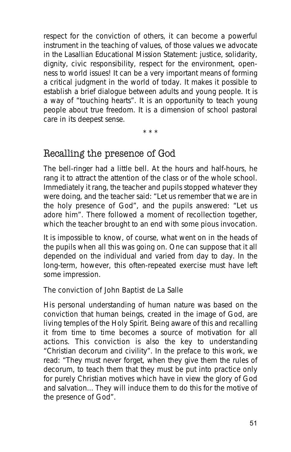respect for the conviction of others, it can become a powerful instrument in the teaching of values, of those values we advocate in the *Lasallian Educational Mission Statement*: justice, solidarity, dignity, civic responsibility, respect for the environment, openness to world issues! It can be a very important means of forming a critical judgment in the world of today. It makes it possible to establish a brief dialogue between adults and young people. It is a way of "touching hearts". It is an opportunity to teach young people about true freedom. It is a dimension of school pastoral care in its deepest sense.

\* \* \*

## Recalling the presence of God

The bell-ringer had a little bell. At the hours and half-hours, he rang it to attract the attention of the class or of the whole school. Immediately it rang, the teacher and pupils stopped whatever they were doing, and the teacher said: "*Let us remember that we are in the holy presence of God*", and the pupils answered: "*Let us adore him*". There followed a moment of recollection together, which the teacher brought to an end with some pious invocation.

It is impossible to know, of course, what went on in the heads of the pupils when all this was going on. One can suppose that it all depended on the individual and varied from day to day. In the long-term, however, this often-repeated exercise must have left some impression.

#### **The conviction of John Baptist de La Salle**

His personal understanding of human nature was based on the conviction that human beings, created in the image of God, are living temples of the Holy Spirit. Being aware of this and recalling it from time to time becomes a source of motivation for all actions. This conviction is also the key to understanding "*Christian decorum and civility*". In the preface to this work, we read: "*They must never forget, when they give them the rules of decorum, to teach them that they must be put into practice only for purely Christian motives which have in view the glory of God and salvation... They will induce them to do this for the motive of the presence of God*".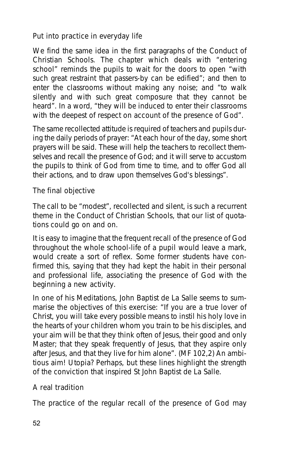#### **Put into practice in everyday life**

We find the same idea in the first paragraphs of the *Conduct of Christian Schools*. The chapter which deals with "*entering school*" reminds the pupils to wait for the doors to open "*with such great restraint that passers-by can be edified*"; and then to enter the classrooms without making any noise; and "*to walk silently and with such great composure that they cannot be heard*". In a word, "*they will be induced to enter their classrooms with the deepest of respect on account of the presence of God*".

The same recollected attitude is required of teachers and pupils during the daily periods of prayer: "*At each hour of the day, some short prayers will be said. These will help the teachers to recollect themselves and recall the presence of God; and it will serve to accustom the pupils to think of God from time to time, and to offer God all their actions, and to draw upon themselves God's blessings*".

#### **The final objective**

The call to be "modest", recollected and silent, is such a recurrent theme in the *Conduct of Christian Schools*, that our list of quotations could go on and on.

It is easy to imagine that the frequent recall of the presence of God throughout the whole school-life of a pupil would leave a mark, would create a sort of reflex. Some former students have confirmed this, saying that they had kept the habit in their personal and professional life, associating the presence of God with the beginning a new activity.

In one of his Meditations, John Baptist de La Salle seems to summarise the objectives of this exercise: "*If you are a true lover of Christ, you will take every possible means to instil his holy love in the hearts of your children whom you train to be his disciples, and your aim will be that they think often of Jesus, their good and only Master; that they speak frequently of Jesus, that they aspire only after Jesus, and that they live for him alone*". (MF 102,2) An ambitious aim! Utopia? Perhaps, but these lines highlight the strength of the conviction that inspired St John Baptist de La Salle.

#### **A real tradition**

The practice of the regular recall of the presence of God may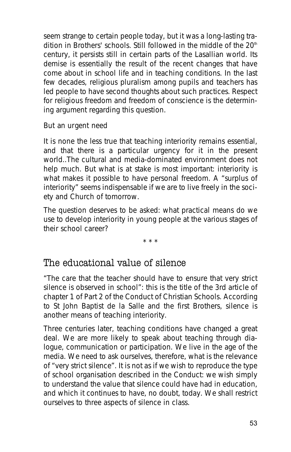seem strange to certain people today, but it was a long-lasting tradition in Brothers' schools. Still followed in the middle of the 20<sup>th</sup> century, it persists still in certain parts of the Lasallian world. Its demise is essentially the result of the recent changes that have come about in school life and in teaching conditions. In the last few decades, religious pluralism among pupils and teachers has led people to have second thoughts about such practices. Respect for religious freedom and freedom of conscience is the determining argument regarding this question.

#### **But an urgent need**

It is none the less true that teaching interiority remains essential, and that there is a particular urgency for it in the present world..The cultural and media-dominated environment does not help much. But what is at stake is most important: interiority is what makes it possible to have personal freedom. A "surplus of interiority" seems indispensable if we are to live freely in the society and Church of tomorrow.

The question deserves to be asked: what practical means do we use to develop interiority in young people at the various stages of their school career?

\* \* \*

## The educational value of silence

"*The care that the teacher should have to ensure that very strict silence is observed in school*": this is the title of the 3rd article of chapter 1 of Part 2 of the *Conduct of Christian Schools*. According to St John Baptist de la Salle and the first Brothers, silence is another means of teaching interiority.

Three centuries later, teaching conditions have changed a great deal. We are more likely to speak about teaching through dialogue, communication or participation. We live in the age of the media. We need to ask ourselves, therefore, what is the relevance of "very strict silence". It is not as if we wish to reproduce the type of school organisation described in the *Conduct*: we wish simply to understand the value that silence could have had in education, and which it continues to have, no doubt, today. We shall restrict ourselves to three aspects of silence in class.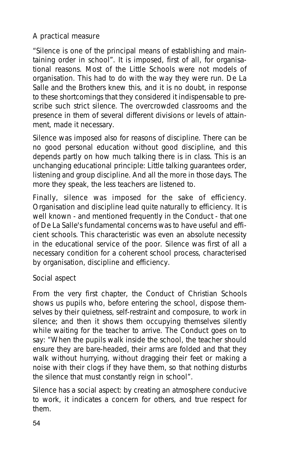#### **A practical measure**

"*Silence is one of the principal means of establishing and maintaining order in school*". It is imposed, first of all, for organisational reasons. Most of the Little Schools were not models of organisation. This had to do with the way they were run. De La Salle and the Brothers knew this, and it is no doubt, in response to these shortcomings that they considered it indispensable to prescribe such strict silence. The overcrowded classrooms and the presence in them of several different divisions or levels of attainment, made it necessary.

Silence was imposed also for reasons of discipline. There can be no good personal education without good discipline, and this depends partly on how much talking there is in class. This is an unchanging educational principle: Little talking guarantees order, listening and group discipline. And all the more in those days. The more they speak, the less teachers are listened to.

Finally, silence was imposed for the sake of efficiency. Organisation and discipline lead quite naturally to efficiency. It is well known - and mentioned frequently in the *Conduct* - that one of De La Salle's fundamental concerns was to have useful and efficient schools. This characteristic was even an absolute necessity in the educational service of the poor. Silence was first of all a necessary condition for a coherent school process, characterised by organisation, discipline and efficiency.

#### **Social aspect**

From the very first chapter, the *Conduct of Christian Schools* shows us pupils who, before entering the school, dispose themselves by their quietness, self-restraint and composure, to work in silence; and then it shows them occupying themselves silently while waiting for the teacher to arrive. The *Conduct* goes on to say: "*When the pupils walk inside the school, the teacher should ensure they are bare-headed, their arms are folded and that they walk without hurrying, without dragging their feet or making a noise with their clogs if they have them, so that nothing disturbs the silence that must constantly reign in school*".

Silence has a social aspect: by creating an atmosphere conducive to work, it indicates a concern for others, and true respect for them.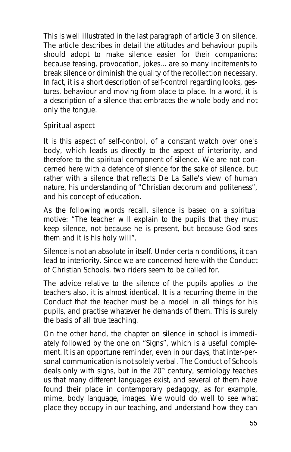This is well illustrated in the last paragraph of article 3 on silence. The article describes in detail the attitudes and behaviour pupils should adopt to make silence easier for their companions; because teasing, provocation, jokes... are so many incitements to break silence or diminish the quality of the recollection necessary. In fact, it is a short description of self-control regarding looks, gestures, behaviour and moving from place to place. In a word, it is a description of a silence that embraces the whole body and not only the tongue.

#### **Spiritual aspect**

It is this aspect of self-control, of a constant watch over one's body, which leads us directly to the aspect of interiority, and therefore to the spiritual component of silence. We are not concerned here with a defence of silence for the sake of silence, but rather with a silence that reflects De La Salle's view of human nature, his understanding of "*Christian decorum and politeness*", and his concept of education.

As the following words recall, silence is based on a spiritual motive: "*The teacher will explain to the pupils that they must keep silence, not because he is present, but because God sees them and it is his holy will*".

Silence is not an absolute in itself. Under certain conditions, it can lead to interiority. Since we are concerned here with the *Conduct of Christian Schools*, two riders seem to be called for.

The advice relative to the silence of the pupils applies to the teachers also, it is almost identical. It is a recurring theme in the *Conduct* that the teacher must be a model in all things for his pupils, and practise whatever he demands of them. This is surely the basis of all true teaching.

On the other hand, the chapter on silence in school is immediately followed by the one on "*Signs*", which is a useful complement. It is an opportune reminder, even in our days, that inter-personal communication is not solely verbal. The *Conduct of Schools* deals only with signs, but in the  $20<sup>th</sup>$  century, semiology teaches us that many different languages exist, and several of them have found their place in contemporary pedagogy, as for example, mime, body language, images. We would do well to see what place they occupy in our teaching, and understand how they can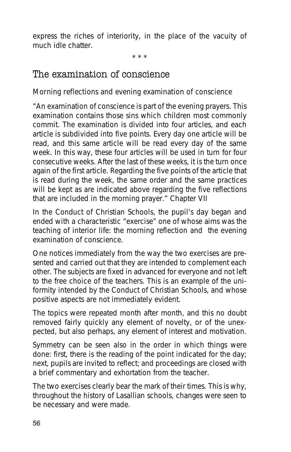express the riches of interiority, in the place of the vacuity of much idle chatter.

\* \* \*

### The examination of conscience

#### **Morning reflections and evening examination of conscience**

*"An examination of conscience is part of the evening prayers. This examination contains those sins which children most commonly commit. The examination is divided into four articles, and each article is subdivided into five points. Every day one article will be read, and this same article will be read every day of the same week. In this way, these four articles will be used in turn for four consecutive weeks. After the last of these weeks, it is the turn once again of the first article. Regarding the five points of the article that is read during the week, the same order and the same practices will be kept as are indicated above regarding the five reflections that are included in the morning prayer."* Chapter VII

In the Conduct of Christian Schools, the pupil's day began and ended with a characteristic "exercise" one of whose aims was the teaching of interior life: the morning reflection and the evening examination of conscience.

One notices immediately from the way the two exercises are presented and carried out that they are intended to complement each other. The subjects are fixed in advanced for everyone and not left to the free choice of the teachers. This is an example of the uniformity intended by the Conduct of Christian Schools, and whose positive aspects are not immediately evident.

The topics were repeated month after month, and this no doubt removed fairly quickly any element of novelty, or of the unexpected, but also perhaps, any element of interest and motivation.

Symmetry can be seen also in the order in which things were done: first, there is the reading of the point indicated for the day; next, pupils are invited to reflect; and proceedings are closed with a brief commentary and exhortation from the teacher.

The two exercises clearly bear the mark of their times. This is why, throughout the history of Lasallian schools, changes were seen to be necessary and were made.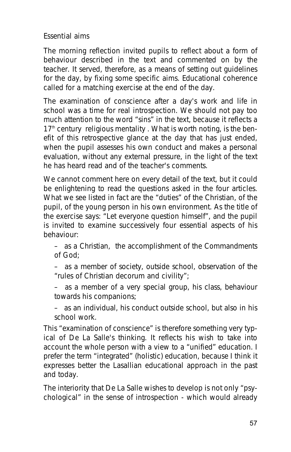#### **Essential aims**

The morning reflection invited pupils to reflect about a form of behaviour described in the text and commented on by the teacher. It served, therefore, as a means of setting out guidelines for the day, by fixing some specific aims. Educational coherence called for a matching exercise at the end of the day.

The examination of conscience after a day's work and life in school was a time for real introspection. We should not pay too much attention to the word "sins" in the text, because it reflects a  $17<sup>th</sup>$  century religious mentality. What is worth noting, is the benefit of this retrospective glance at the day that has just ended, when the pupil assesses his own conduct and makes a personal evaluation, without any external pressure, in the light of the text he has heard read and of the teacher's comments.

We cannot comment here on every detail of the text, but it could be enlightening to read the questions asked in the four articles. What we see listed in fact are the "duties" of the Christian, of the pupil, of the young person in his own environment. As the title of the exercise says: "Let everyone question himself", and the pupil is invited to examine successively four essential aspects of his behaviour:

– as a Christian, the accomplishment of the Commandments of God;

– as a member of society, outside school, observation of the "*rules of Christian decorum and civility*";

– as a member of a very special group, his class, behaviour towards his companions;

– as an individual, his conduct outside school, but also in his school work.

This "examination of conscience" is therefore something very typical of De La Salle's thinking. It reflects his wish to take into account the whole person with a view to a "unified" education. I prefer the term "integrated" (holistic) education, because I think it expresses better the Lasallian educational approach in the past and today.

The interiority that De La Salle wishes to develop is not only "psychological" in the sense of introspection - which would already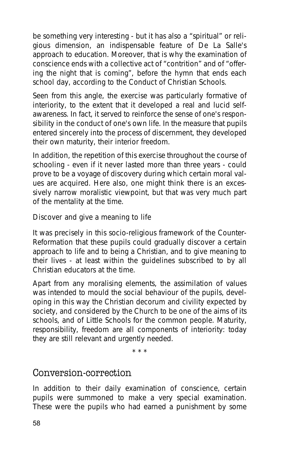be something very interesting - but it has also a "spiritual" or religious dimension, an indispensable feature of De La Salle's approach to education. Moreover, that is why the examination of conscience ends with a collective act of "contrition" and of "offering the night that is coming", before the hymn that ends each school day, according to the *Conduct of Christian Schools*.

Seen from this angle, the exercise was particularly formative of interiority, to the extent that it developed a real and lucid selfawareness. In fact, it served to reinforce the sense of one's responsibility in the conduct of one's own life. In the measure that pupils entered sincerely into the process of discernment, they developed their own maturity, their interior freedom.

In addition, the repetition of this exercise throughout the course of schooling - even if it never lasted more than three years - could prove to be a voyage of discovery during which certain moral values are acquired. Here also, one might think there is an excessively narrow moralistic viewpoint, but that was very much part of the mentality at the time.

#### **Discover and give a meaning to life**

It was precisely in this socio-religious framework of the Counter-Reformation that these pupils could gradually discover a certain approach to life and to being a Christian, and to give meaning to their lives - at least within the guidelines subscribed to by all Christian educators at the time.

Apart from any moralising elements, the assimilation of values was intended to mould the social behaviour of the pupils, developing in this way the Christian decorum and civility expected by society, and considered by the Church to be one of the aims of its schools, and of Little Schools for the common people. Maturity, responsibility, freedom are all components of interiority: today they are still relevant and urgently needed.

\* \* \*

### Conversion-correction

In addition to their daily examination of conscience, certain pupils were summoned to make a very special examination. These were the pupils who had earned a punishment by some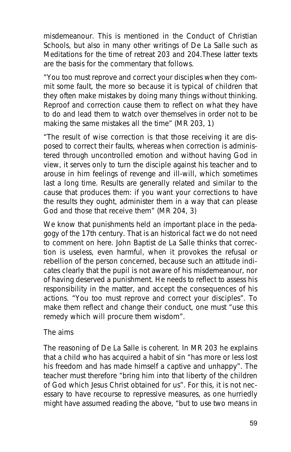misdemeanour. This is mentioned in the *Conduct of Christian Schools*, but also in many other writings of De La Salle such as *Meditations for the time of retreat* 203 and 204.These latter texts are the basis for the commentary that follows.

"*You too must reprove and correct your disciples when they commit some fault, the more so because it is typical of children that they often make mistakes by doing many things without thinking. Reproof and correction cause them to reflect on what they have to do and lead them to watch over themselves in order not to be making the same mistakes all the time*" (MR 203, 1)

"*The result of wise correction is that those receiving it are disposed to correct their faults, whereas when correction is administered through uncontrolled emotion and without having God in view, it serves only to turn the disciple against his teacher and to arouse in him feelings of revenge and ill-will, which sometimes last a long time. Results are generally related and similar to the cause that produces them: if you want your corrections to have the results they ought, administer them in a way that can please God and those that receive them*" (MR 204, 3)

We know that punishments held an important place in the pedagogy of the 17th century. That is an historical fact we do not need to comment on here. John Baptist de La Salle thinks that correction is useless, even harmful, when it provokes the refusal or rebellion of the person concerned, because such an attitude indicates clearly that the pupil is not aware of his misdemeanour, nor of having deserved a punishment. He needs to reflect to assess his responsibility in the matter, and accept the consequences of his actions. "*You too must reprove and correct your disciples*". To make them reflect and change their conduct, one must "*use this remedy which will procure them wisdom*".

#### **The aims**

The reasoning of De La Salle is coherent. In MR 203 he explains that a child who has acquired a habit of sin "*has more or less lost his freedom and has made himself a captive and unhappy*". The teacher must therefore "*bring him into that liberty of the children of God which Jesus Christ obtained for us*". For this, it is not necessary to have recourse to repressive measures, as one hurriedly might have assumed reading the above, "*but to use two means in*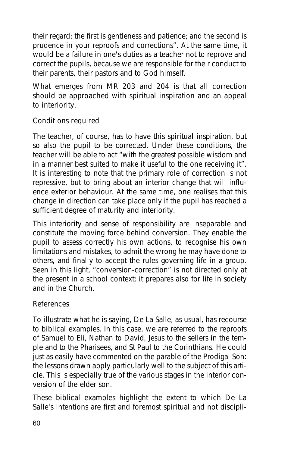*their regard; the first is gentleness and patience; and the second is prudence in your reproofs and corrections*". At the same time, it would be a failure in one's duties as a teacher not to reprove and correct the pupils, because we are responsible for their conduct to their parents, their pastors and to God himself.

What emerges from MR 203 and 204 is that all correction should be approached with spiritual inspiration and an appeal to interiority.

#### **Conditions required**

The teacher, of course, has to have this spiritual inspiration, but so also the pupil to be corrected. Under these conditions, the teacher will be able to act "with the greatest possible wisdom and in a manner best suited to make it useful to the one receiving it". It is interesting to note that the primary role of correction is not repressive, but to bring about an interior change that will influence exterior behaviour. At the same time, one realises that this change in direction can take place only if the pupil has reached a sufficient degree of maturity and interiority.

This interiority and sense of responsibility are inseparable and constitute the moving force behind conversion. They enable the pupil to assess correctly his own actions, to recognise his own limitations and mistakes, to admit the wrong he may have done to others, and finally to accept the rules governing life in a group. Seen in this light, "conversion-correction" is not directed only at the present in a school context: it prepares also for life in society and in the Church.

#### **References**

To illustrate what he is saying, De La Salle, as usual, has recourse to biblical examples. In this case, we are referred to the reproofs of Samuel to Eli, Nathan to David, Jesus to the sellers in the temple and to the Pharisees, and St Paul to the Corinthians. He could just as easily have commented on the parable of the Prodigal Son: the lessons drawn apply particularly well to the subject of this article. This is especially true of the various stages in the interior conversion of the elder son.

These biblical examples highlight the extent to which De La Salle's intentions are first and foremost spiritual and not discipli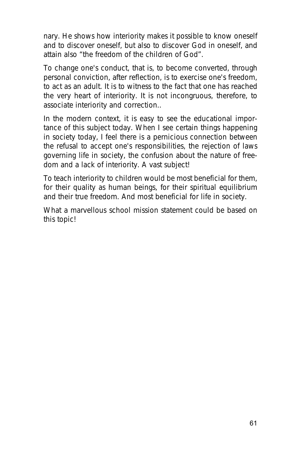nary. He shows how interiority makes it possible to know oneself and to discover oneself, but also to discover God in oneself, and attain also "*the freedom of the children of God*".

To change one's conduct, that is, to become converted, through personal conviction, after reflection, is to exercise one's freedom, to act as an adult. It is to witness to the fact that one has reached the very heart of interiority. It is not incongruous, therefore, to associate interiority and correction..

In the modern context, it is easy to see the educational importance of this subject today. When I see certain things happening in society today, I feel there is a pernicious connection between the refusal to accept one's responsibilities, the rejection of laws governing life in society, the confusion about the nature of freedom and a lack of interiority. A vast subject!

To teach interiority to children would be most beneficial for them, for their quality as human beings, for their spiritual equilibrium and their true freedom. And most beneficial for life in society.

What a marvellous school mission statement could be based on this topic!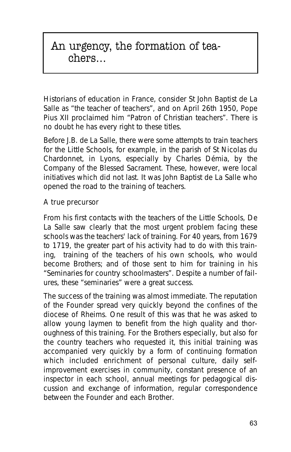## An urgency, the formation of teachers…

Historians of education in France, consider St John Baptist de La Salle as "the teacher of teachers", and on April 26th 1950, Pope Pius XII proclaimed him "Patron of Christian teachers". There is no doubt he has every right to these titles.

Before J.B. de La Salle, there were some attempts to train teachers for the Little Schools, for example, in the parish of St Nicolas du Chardonnet, in Lyons, especially by Charles Démia, by the Company of the Blessed Sacrament. These, however, were local initiatives which did not last. It was John Baptist de La Salle who opened the road to the training of teachers.

#### **A true precursor**

From his first contacts with the teachers of the Little Schools, De La Salle saw clearly that the most urgent problem facing these schools was the teachers' lack of training. For 40 years, from 1679 to 1719, the greater part of his activity had to do with this training, training of the teachers of his own schools, who would become Brothers; and of those sent to him for training in his "*Seminaries for country schoolmasters*". Despite a number of failures, these "seminaries" were a great success.

The success of the training was almost immediate. The reputation of the Founder spread very quickly beyond the confines of the diocese of Rheims. One result of this was that he was asked to allow young laymen to benefit from the high quality and thoroughness of this training. For the Brothers especially, but also for the country teachers who requested it, this initial training was accompanied very quickly by a form of continuing formation which included enrichment of personal culture, daily selfimprovement exercises in community, constant presence of an inspector in each school, annual meetings for pedagogical discussion and exchange of information, regular correspondence between the Founder and each Brother.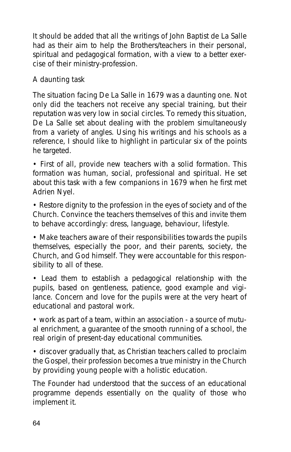It should be added that all the writings of John Baptist de La Salle had as their aim to help the Brothers/teachers in their personal, spiritual and pedagogical formation, with a view to a better exercise of their ministry-profession.

#### **A daunting task**

The situation facing De La Salle in 1679 was a daunting one. Not only did the teachers not receive any special training, but their reputation was very low in social circles. To remedy this situation, De La Salle set about dealing with the problem simultaneously from a variety of angles. Using his writings and his schools as a reference, I should like to highlight in particular six of the points he targeted.

• First of all, provide new teachers with a solid formation. This formation was human, social, professional and spiritual. He set about this task with a few companions in 1679 when he first met Adrien Nyel.

• Restore dignity to the profession in the eyes of society and of the Church. Convince the teachers themselves of this and invite them to behave accordingly: dress, language, behaviour, lifestyle.

• Make teachers aware of their responsibilities towards the pupils themselves, especially the poor, and their parents, society, the Church, and God himself. They were accountable for this responsibility to all of these.

• Lead them to establish a pedagogical relationship with the pupils, based on gentleness, patience, good example and vigilance. Concern and love for the pupils were at the very heart of educational and pastoral work.

• work as part of a team, within an association - a source of mutual enrichment, a guarantee of the smooth running of a school, the real origin of present-day educational communities.

• discover gradually that, as Christian teachers called to proclaim the Gospel, their profession becomes a true ministry in the Church by providing young people with a holistic education.

The Founder had understood that the success of an educational programme depends essentially on the quality of those who implement it.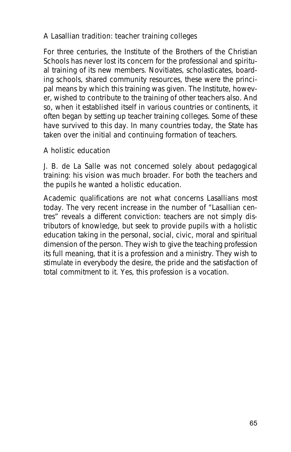#### **A Lasallian tradition: teacher training colleges**

For three centuries, the Institute of the Brothers of the Christian Schools has never lost its concern for the professional and spiritual training of its new members. Novitiates, scholasticates, boarding schools, shared community resources, these were the principal means by which this training was given. The Institute, however, wished to contribute to the training of other teachers also. And so, when it established itself in various countries or continents, it often began by setting up teacher training colleges. Some of these have survived to this day. In many countries today, the State has taken over the initial and continuing formation of teachers.

#### **A holistic education**

J. B. de La Salle was not concerned solely about pedagogical training: his vision was much broader. For both the teachers and the pupils he wanted a holistic education.

Academic qualifications are not what concerns Lasallians most today. The very recent increase in the number of "Lasallian centres" reveals a different conviction: teachers are not simply distributors of knowledge, but seek to provide pupils with a holistic education taking in the personal, social, civic, moral and spiritual dimension of the person. They wish to give the teaching profession its full meaning, that it is a profession and a ministry. They wish to stimulate in everybody the desire, the pride and the satisfaction of total commitment to it. Yes, this profession is a vocation.